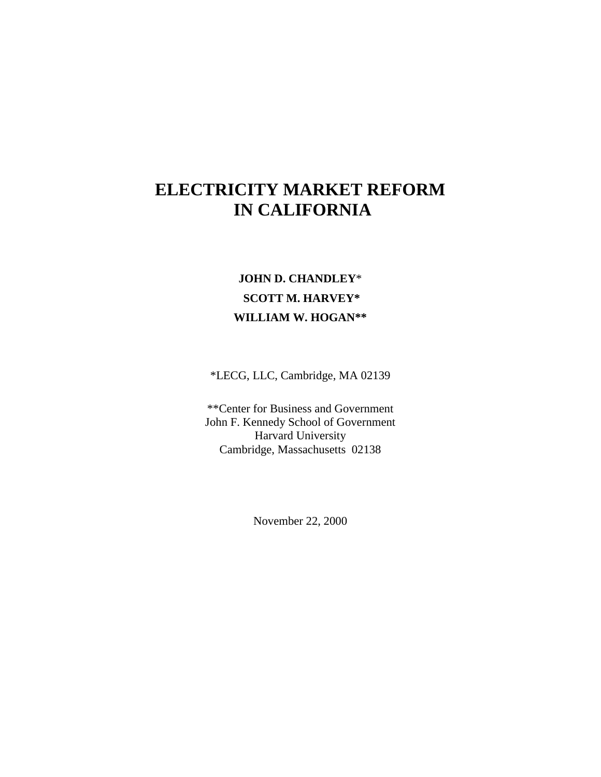# **ELECTRICITY MARKET REFORM IN CALIFORNIA**

## **JOHN D. CHANDLEY**\*  **SCOTT M. HARVEY\* WILLIAM W. HOGAN\*\***

\*LECG, LLC, Cambridge, MA 02139

\*\*Center for Business and Government John F. Kennedy School of Government Harvard University Cambridge, Massachusetts 02138

November 22, 2000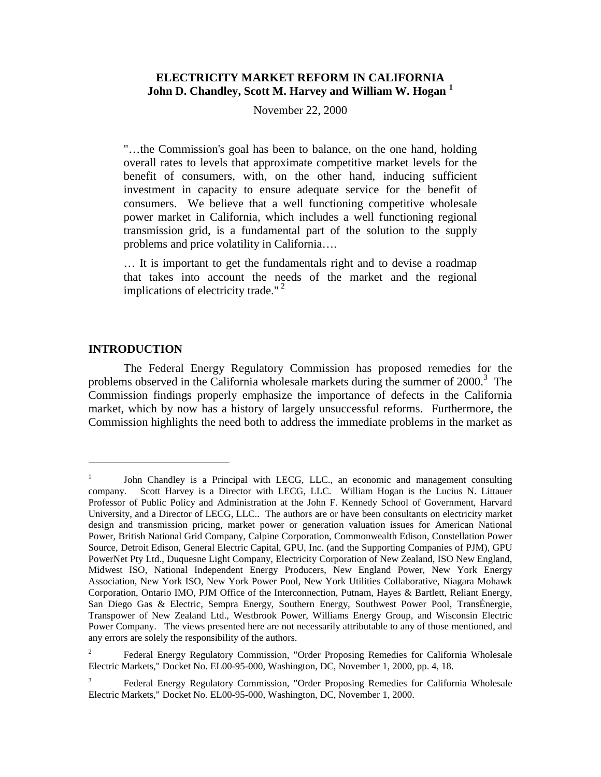## **ELECTRICITY MARKET REFORM IN CALIFORNIA John D. Chandley, Scott M. Harvey and William W. Hogan 1**

November 22, 2000

"…the Commission's goal has been to balance, on the one hand, holding overall rates to levels that approximate competitive market levels for the benefit of consumers, with, on the other hand, inducing sufficient investment in capacity to ensure adequate service for the benefit of consumers. We believe that a well functioning competitive wholesale power market in California, which includes a well functioning regional transmission grid, is a fundamental part of the solution to the supply problems and price volatility in California….

… It is important to get the fundamentals right and to devise a roadmap that takes into account the needs of the market and the regional implications of electricity trade."<sup>2</sup>

#### **INTRODUCTION**

 $\overline{a}$ 

The Federal Energy Regulatory Commission has proposed remedies for the problems observed in the California wholesale markets during the summer of  $2000$ .<sup>3</sup> The Commission findings properly emphasize the importance of defects in the California market, which by now has a history of largely unsuccessful reforms. Furthermore, the Commission highlights the need both to address the immediate problems in the market as

<sup>&</sup>lt;sup>1</sup> John Chandley is a Principal with LECG, LLC., an economic and management consulting company. Scott Harvey is a Director with LECG, LLC. William Hogan is the Lucius N. Littauer Professor of Public Policy and Administration at the John F. Kennedy School of Government, Harvard University, and a Director of LECG, LLC.. The authors are or have been consultants on electricity market design and transmission pricing, market power or generation valuation issues for American National Power, British National Grid Company, Calpine Corporation, Commonwealth Edison, Constellation Power Source, Detroit Edison, General Electric Capital, GPU, Inc. (and the Supporting Companies of PJM), GPU PowerNet Pty Ltd., Duquesne Light Company, Electricity Corporation of New Zealand, ISO New England, Midwest ISO, National Independent Energy Producers, New England Power, New York Energy Association, New York ISO, New York Power Pool, New York Utilities Collaborative, Niagara Mohawk Corporation, Ontario IMO, PJM Office of the Interconnection, Putnam, Hayes & Bartlett, Reliant Energy, San Diego Gas & Electric, Sempra Energy, Southern Energy, Southwest Power Pool, TransÉnergie, Transpower of New Zealand Ltd., Westbrook Power, Williams Energy Group, and Wisconsin Electric Power Company. The views presented here are not necessarily attributable to any of those mentioned, and any errors are solely the responsibility of the authors.

<sup>2</sup> Federal Energy Regulatory Commission, "Order Proposing Remedies for California Wholesale Electric Markets," Docket No. EL00-95-000, Washington, DC, November 1, 2000, pp. 4, 18.

<sup>3</sup> Federal Energy Regulatory Commission, "Order Proposing Remedies for California Wholesale Electric Markets," Docket No. EL00-95-000, Washington, DC, November 1, 2000.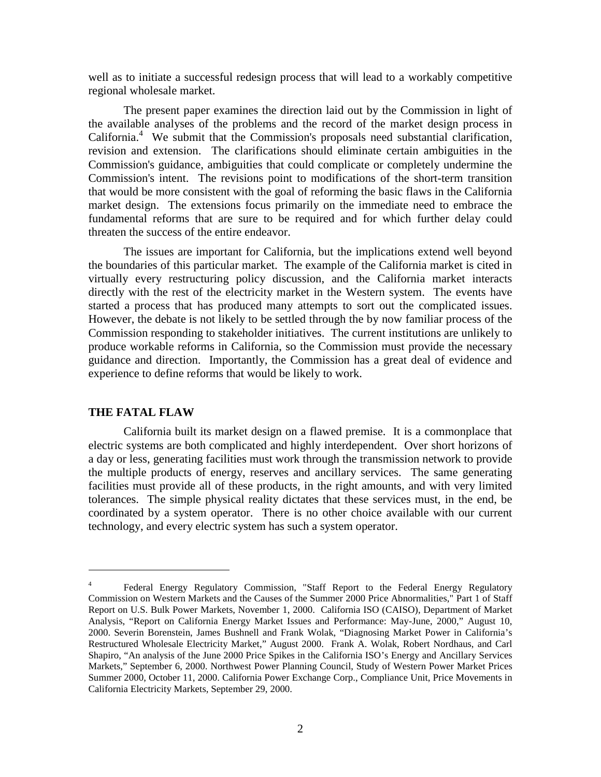well as to initiate a successful redesign process that will lead to a workably competitive regional wholesale market.

The present paper examines the direction laid out by the Commission in light of the available analyses of the problems and the record of the market design process in California.<sup>4</sup> We submit that the Commission's proposals need substantial clarification, revision and extension. The clarifications should eliminate certain ambiguities in the Commission's guidance, ambiguities that could complicate or completely undermine the Commission's intent. The revisions point to modifications of the short-term transition that would be more consistent with the goal of reforming the basic flaws in the California market design. The extensions focus primarily on the immediate need to embrace the fundamental reforms that are sure to be required and for which further delay could threaten the success of the entire endeavor.

The issues are important for California, but the implications extend well beyond the boundaries of this particular market. The example of the California market is cited in virtually every restructuring policy discussion, and the California market interacts directly with the rest of the electricity market in the Western system. The events have started a process that has produced many attempts to sort out the complicated issues. However, the debate is not likely to be settled through the by now familiar process of the Commission responding to stakeholder initiatives. The current institutions are unlikely to produce workable reforms in California, so the Commission must provide the necessary guidance and direction. Importantly, the Commission has a great deal of evidence and experience to define reforms that would be likely to work.

## **THE FATAL FLAW**

 $\overline{a}$ 

California built its market design on a flawed premise. It is a commonplace that electric systems are both complicated and highly interdependent. Over short horizons of a day or less, generating facilities must work through the transmission network to provide the multiple products of energy, reserves and ancillary services. The same generating facilities must provide all of these products, in the right amounts, and with very limited tolerances. The simple physical reality dictates that these services must, in the end, be coordinated by a system operator. There is no other choice available with our current technology, and every electric system has such a system operator.

<sup>4</sup> Federal Energy Regulatory Commission, "Staff Report to the Federal Energy Regulatory Commission on Western Markets and the Causes of the Summer 2000 Price Abnormalities," Part 1 of Staff Report on U.S. Bulk Power Markets, November 1, 2000. California ISO (CAISO), Department of Market Analysis, "Report on California Energy Market Issues and Performance: May-June, 2000," August 10, 2000. Severin Borenstein, James Bushnell and Frank Wolak, "Diagnosing Market Power in California's Restructured Wholesale Electricity Market," August 2000. Frank A. Wolak, Robert Nordhaus, and Carl Shapiro, "An analysis of the June 2000 Price Spikes in the California ISO's Energy and Ancillary Services Markets," September 6, 2000. Northwest Power Planning Council, Study of Western Power Market Prices Summer 2000, October 11, 2000. California Power Exchange Corp., Compliance Unit, Price Movements in California Electricity Markets, September 29, 2000.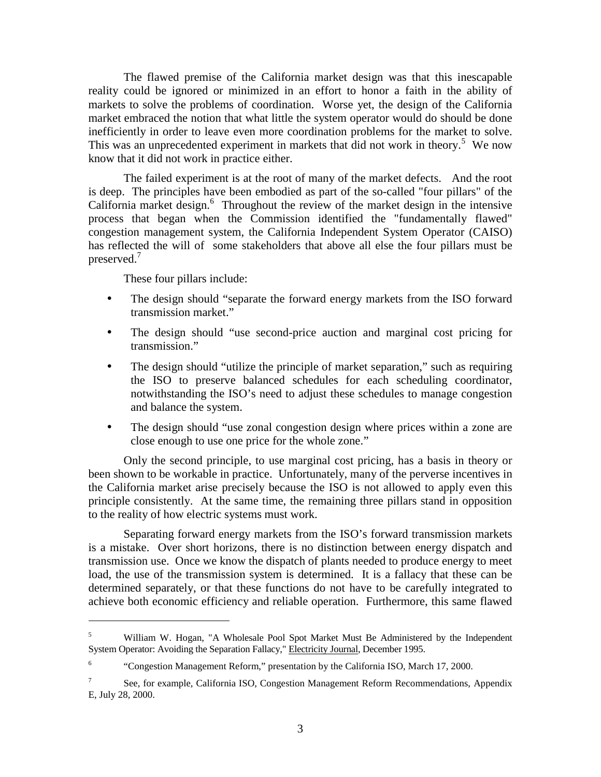The flawed premise of the California market design was that this inescapable reality could be ignored or minimized in an effort to honor a faith in the ability of markets to solve the problems of coordination. Worse yet, the design of the California market embraced the notion that what little the system operator would do should be done inefficiently in order to leave even more coordination problems for the market to solve. This was an unprecedented experiment in markets that did not work in theory.<sup>5</sup> We now know that it did not work in practice either.

The failed experiment is at the root of many of the market defects. And the root is deep. The principles have been embodied as part of the so-called "four pillars" of the California market design.<sup>6</sup> Throughout the review of the market design in the intensive process that began when the Commission identified the "fundamentally flawed" congestion management system, the California Independent System Operator (CAISO) has reflected the will of some stakeholders that above all else the four pillars must be preserved.<sup>7</sup>

These four pillars include:

 $\overline{a}$ 

- The design should "separate the forward energy markets from the ISO forward transmission market."
- The design should "use second-price auction and marginal cost pricing for transmission."
- The design should "utilize the principle of market separation," such as requiring the ISO to preserve balanced schedules for each scheduling coordinator, notwithstanding the ISO's need to adjust these schedules to manage congestion and balance the system.
- The design should "use zonal congestion design where prices within a zone are close enough to use one price for the whole zone."

Only the second principle, to use marginal cost pricing, has a basis in theory or been shown to be workable in practice. Unfortunately, many of the perverse incentives in the California market arise precisely because the ISO is not allowed to apply even this principle consistently. At the same time, the remaining three pillars stand in opposition to the reality of how electric systems must work.

Separating forward energy markets from the ISO's forward transmission markets is a mistake. Over short horizons, there is no distinction between energy dispatch and transmission use. Once we know the dispatch of plants needed to produce energy to meet load, the use of the transmission system is determined. It is a fallacy that these can be determined separately, or that these functions do not have to be carefully integrated to achieve both economic efficiency and reliable operation. Furthermore, this same flawed

<sup>5</sup> William W. Hogan, "A Wholesale Pool Spot Market Must Be Administered by the Independent System Operator: Avoiding the Separation Fallacy," Electricity Journal, December 1995.

<sup>6</sup> "Congestion Management Reform," presentation by the California ISO, March 17, 2000.

<sup>7</sup> See, for example, California ISO, Congestion Management Reform Recommendations, Appendix E, July 28, 2000.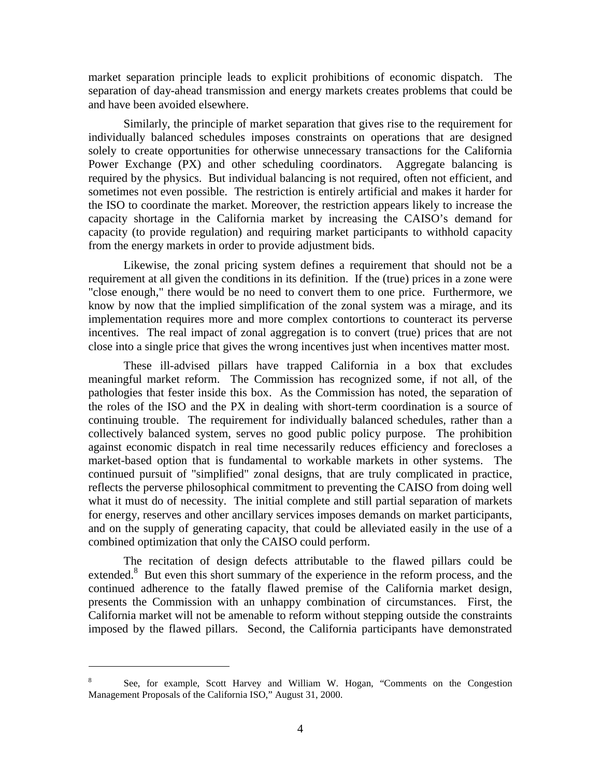market separation principle leads to explicit prohibitions of economic dispatch. The separation of day-ahead transmission and energy markets creates problems that could be and have been avoided elsewhere.

Similarly, the principle of market separation that gives rise to the requirement for individually balanced schedules imposes constraints on operations that are designed solely to create opportunities for otherwise unnecessary transactions for the California Power Exchange (PX) and other scheduling coordinators. Aggregate balancing is required by the physics. But individual balancing is not required, often not efficient, and sometimes not even possible. The restriction is entirely artificial and makes it harder for the ISO to coordinate the market. Moreover, the restriction appears likely to increase the capacity shortage in the California market by increasing the CAISO's demand for capacity (to provide regulation) and requiring market participants to withhold capacity from the energy markets in order to provide adjustment bids.

Likewise, the zonal pricing system defines a requirement that should not be a requirement at all given the conditions in its definition. If the (true) prices in a zone were "close enough," there would be no need to convert them to one price. Furthermore, we know by now that the implied simplification of the zonal system was a mirage, and its implementation requires more and more complex contortions to counteract its perverse incentives. The real impact of zonal aggregation is to convert (true) prices that are not close into a single price that gives the wrong incentives just when incentives matter most.

These ill-advised pillars have trapped California in a box that excludes meaningful market reform. The Commission has recognized some, if not all, of the pathologies that fester inside this box. As the Commission has noted, the separation of the roles of the ISO and the PX in dealing with short-term coordination is a source of continuing trouble. The requirement for individually balanced schedules, rather than a collectively balanced system, serves no good public policy purpose. The prohibition against economic dispatch in real time necessarily reduces efficiency and forecloses a market-based option that is fundamental to workable markets in other systems. The continued pursuit of "simplified" zonal designs, that are truly complicated in practice, reflects the perverse philosophical commitment to preventing the CAISO from doing well what it must do of necessity. The initial complete and still partial separation of markets for energy, reserves and other ancillary services imposes demands on market participants, and on the supply of generating capacity, that could be alleviated easily in the use of a combined optimization that only the CAISO could perform.

The recitation of design defects attributable to the flawed pillars could be extended.<sup>8</sup> But even this short summary of the experience in the reform process, and the continued adherence to the fatally flawed premise of the California market design, presents the Commission with an unhappy combination of circumstances. First, the California market will not be amenable to reform without stepping outside the constraints imposed by the flawed pillars. Second, the California participants have demonstrated

<sup>8</sup> See, for example, Scott Harvey and William W. Hogan, "Comments on the Congestion Management Proposals of the California ISO," August 31, 2000.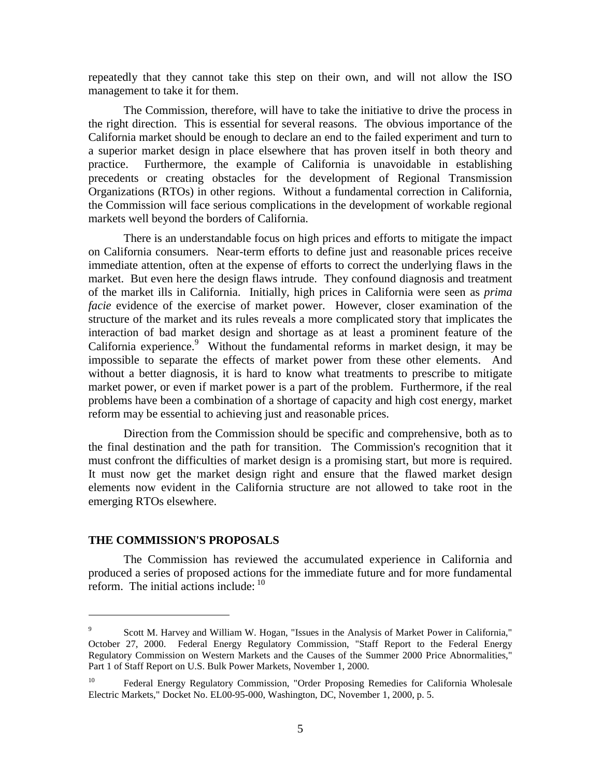repeatedly that they cannot take this step on their own, and will not allow the ISO management to take it for them.

The Commission, therefore, will have to take the initiative to drive the process in the right direction. This is essential for several reasons. The obvious importance of the California market should be enough to declare an end to the failed experiment and turn to a superior market design in place elsewhere that has proven itself in both theory and practice. Furthermore, the example of California is unavoidable in establishing precedents or creating obstacles for the development of Regional Transmission Organizations (RTOs) in other regions. Without a fundamental correction in California, the Commission will face serious complications in the development of workable regional markets well beyond the borders of California.

There is an understandable focus on high prices and efforts to mitigate the impact on California consumers. Near-term efforts to define just and reasonable prices receive immediate attention, often at the expense of efforts to correct the underlying flaws in the market. But even here the design flaws intrude. They confound diagnosis and treatment of the market ills in California. Initially, high prices in California were seen as *prima facie* evidence of the exercise of market power. However, closer examination of the structure of the market and its rules reveals a more complicated story that implicates the interaction of bad market design and shortage as at least a prominent feature of the California experience.<sup>9</sup> Without the fundamental reforms in market design, it may be impossible to separate the effects of market power from these other elements. And without a better diagnosis, it is hard to know what treatments to prescribe to mitigate market power, or even if market power is a part of the problem. Furthermore, if the real problems have been a combination of a shortage of capacity and high cost energy, market reform may be essential to achieving just and reasonable prices.

Direction from the Commission should be specific and comprehensive, both as to the final destination and the path for transition. The Commission's recognition that it must confront the difficulties of market design is a promising start, but more is required. It must now get the market design right and ensure that the flawed market design elements now evident in the California structure are not allowed to take root in the emerging RTOs elsewhere.

#### **THE COMMISSION'S PROPOSALS**

 $\overline{a}$ 

The Commission has reviewed the accumulated experience in California and produced a series of proposed actions for the immediate future and for more fundamental reform. The initial actions include:  $10$ 

<sup>9</sup> Scott M. Harvey and William W. Hogan, "Issues in the Analysis of Market Power in California," October 27, 2000. Federal Energy Regulatory Commission, "Staff Report to the Federal Energy Regulatory Commission on Western Markets and the Causes of the Summer 2000 Price Abnormalities," Part 1 of Staff Report on U.S. Bulk Power Markets, November 1, 2000.

<sup>&</sup>lt;sup>10</sup> Federal Energy Regulatory Commission, "Order Proposing Remedies for California Wholesale Electric Markets," Docket No. EL00-95-000, Washington, DC, November 1, 2000, p. 5.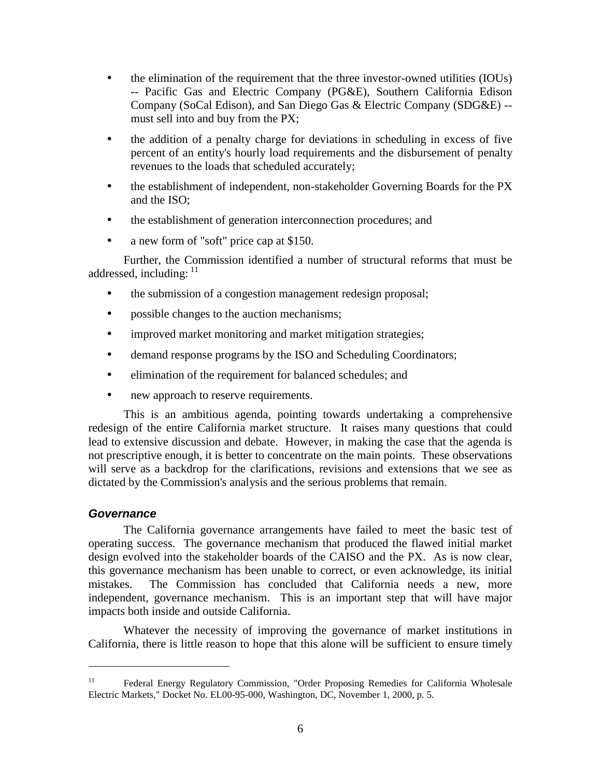- the elimination of the requirement that the three investor-owned utilities (IOUs) -- Pacific Gas and Electric Company (PG&E), Southern California Edison Company (SoCal Edison), and San Diego Gas & Electric Company (SDG&E) - must sell into and buy from the PX;
- the addition of a penalty charge for deviations in scheduling in excess of five percent of an entity's hourly load requirements and the disbursement of penalty revenues to the loads that scheduled accurately;
- the establishment of independent, non-stakeholder Governing Boards for the PX and the ISO;
- the establishment of generation interconnection procedures; and
- a new form of "soft" price cap at \$150.

Further, the Commission identified a number of structural reforms that must be addressed, including:  $11$ 

- the submission of a congestion management redesign proposal;
- possible changes to the auction mechanisms;
- improved market monitoring and market mitigation strategies;
- demand response programs by the ISO and Scheduling Coordinators;
- elimination of the requirement for balanced schedules; and
- new approach to reserve requirements.

This is an ambitious agenda, pointing towards undertaking a comprehensive redesign of the entire California market structure. It raises many questions that could lead to extensive discussion and debate. However, in making the case that the agenda is not prescriptive enough, it is better to concentrate on the main points. These observations will serve as a backdrop for the clarifications, revisions and extensions that we see as dictated by the Commission's analysis and the serious problems that remain.

## **Governance**

 $\overline{a}$ 

The California governance arrangements have failed to meet the basic test of operating success. The governance mechanism that produced the flawed initial market design evolved into the stakeholder boards of the CAISO and the PX. As is now clear, this governance mechanism has been unable to correct, or even acknowledge, its initial mistakes. The Commission has concluded that California needs a new, more independent, governance mechanism. This is an important step that will have major impacts both inside and outside California.

Whatever the necessity of improving the governance of market institutions in California, there is little reason to hope that this alone will be sufficient to ensure timely

<sup>&</sup>lt;sup>11</sup> Federal Energy Regulatory Commission, "Order Proposing Remedies for California Wholesale Electric Markets," Docket No. EL00-95-000, Washington, DC, November 1, 2000, p. 5.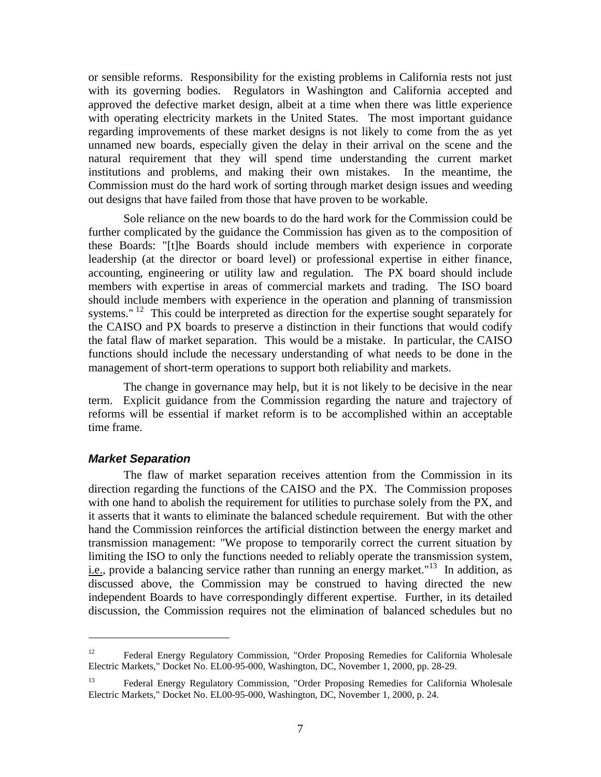or sensible reforms. Responsibility for the existing problems in California rests not just with its governing bodies. Regulators in Washington and California accepted and approved the defective market design, albeit at a time when there was little experience with operating electricity markets in the United States. The most important guidance regarding improvements of these market designs is not likely to come from the as yet unnamed new boards, especially given the delay in their arrival on the scene and the natural requirement that they will spend time understanding the current market institutions and problems, and making their own mistakes. In the meantime, the Commission must do the hard work of sorting through market design issues and weeding out designs that have failed from those that have proven to be workable.

Sole reliance on the new boards to do the hard work for the Commission could be further complicated by the guidance the Commission has given as to the composition of these Boards: "[t]he Boards should include members with experience in corporate leadership (at the director or board level) or professional expertise in either finance, accounting, engineering or utility law and regulation. The PX board should include members with expertise in areas of commercial markets and trading. The ISO board should include members with experience in the operation and planning of transmission systems." <sup>12</sup> This could be interpreted as direction for the expertise sought separately for the CAISO and PX boards to preserve a distinction in their functions that would codify the fatal flaw of market separation. This would be a mistake. In particular, the CAISO functions should include the necessary understanding of what needs to be done in the management of short-term operations to support both reliability and markets.

The change in governance may help, but it is not likely to be decisive in the near term. Explicit guidance from the Commission regarding the nature and trajectory of reforms will be essential if market reform is to be accomplished within an acceptable time frame.

## **Market Separation**

 $\overline{a}$ 

The flaw of market separation receives attention from the Commission in its direction regarding the functions of the CAISO and the PX. The Commission proposes with one hand to abolish the requirement for utilities to purchase solely from the PX, and it asserts that it wants to eliminate the balanced schedule requirement. But with the other hand the Commission reinforces the artificial distinction between the energy market and transmission management: "We propose to temporarily correct the current situation by limiting the ISO to only the functions needed to reliably operate the transmission system, i.e., provide a balancing service rather than running an energy market."<sup>13</sup> In addition, as discussed above, the Commission may be construed to having directed the new independent Boards to have correspondingly different expertise. Further, in its detailed discussion, the Commission requires not the elimination of balanced schedules but no

<sup>&</sup>lt;sup>12</sup> Federal Energy Regulatory Commission, "Order Proposing Remedies for California Wholesale Electric Markets," Docket No. EL00-95-000, Washington, DC, November 1, 2000, pp. 28-29.

<sup>13</sup> Federal Energy Regulatory Commission, "Order Proposing Remedies for California Wholesale Electric Markets," Docket No. EL00-95-000, Washington, DC, November 1, 2000, p. 24.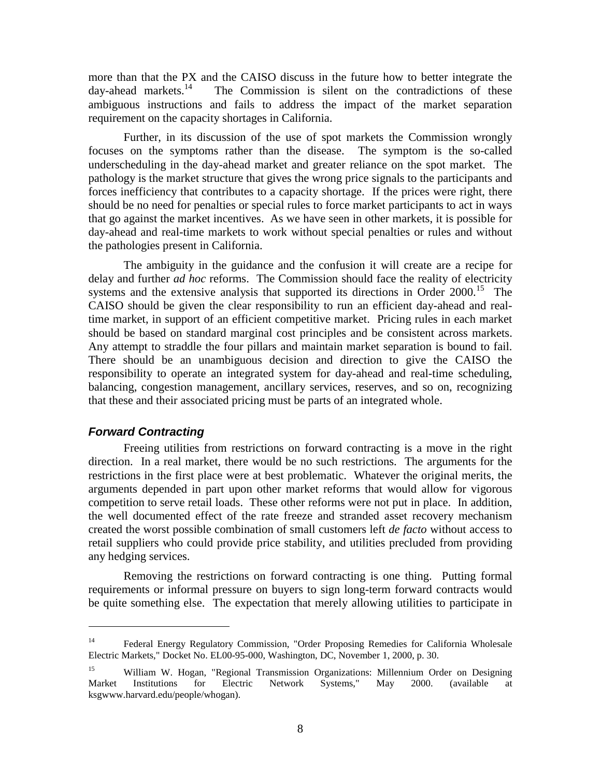more than that the PX and the CAISO discuss in the future how to better integrate the day-ahead markets.<sup>14</sup> The Commission is silent on the contradictions of these The Commission is silent on the contradictions of these ambiguous instructions and fails to address the impact of the market separation requirement on the capacity shortages in California.

Further, in its discussion of the use of spot markets the Commission wrongly focuses on the symptoms rather than the disease. The symptom is the so-called underscheduling in the day-ahead market and greater reliance on the spot market. The pathology is the market structure that gives the wrong price signals to the participants and forces inefficiency that contributes to a capacity shortage. If the prices were right, there should be no need for penalties or special rules to force market participants to act in ways that go against the market incentives. As we have seen in other markets, it is possible for day-ahead and real-time markets to work without special penalties or rules and without the pathologies present in California.

The ambiguity in the guidance and the confusion it will create are a recipe for delay and further *ad hoc* reforms. The Commission should face the reality of electricity systems and the extensive analysis that supported its directions in Order  $2000$ .<sup>15</sup> The CAISO should be given the clear responsibility to run an efficient day-ahead and realtime market, in support of an efficient competitive market. Pricing rules in each market should be based on standard marginal cost principles and be consistent across markets. Any attempt to straddle the four pillars and maintain market separation is bound to fail. There should be an unambiguous decision and direction to give the CAISO the responsibility to operate an integrated system for day-ahead and real-time scheduling, balancing, congestion management, ancillary services, reserves, and so on, recognizing that these and their associated pricing must be parts of an integrated whole.

## **Forward Contracting**

 $\overline{a}$ 

Freeing utilities from restrictions on forward contracting is a move in the right direction. In a real market, there would be no such restrictions. The arguments for the restrictions in the first place were at best problematic. Whatever the original merits, the arguments depended in part upon other market reforms that would allow for vigorous competition to serve retail loads. These other reforms were not put in place. In addition, the well documented effect of the rate freeze and stranded asset recovery mechanism created the worst possible combination of small customers left *de facto* without access to retail suppliers who could provide price stability, and utilities precluded from providing any hedging services.

Removing the restrictions on forward contracting is one thing. Putting formal requirements or informal pressure on buyers to sign long-term forward contracts would be quite something else. The expectation that merely allowing utilities to participate in

<sup>14</sup> Federal Energy Regulatory Commission, "Order Proposing Remedies for California Wholesale Electric Markets," Docket No. EL00-95-000, Washington, DC, November 1, 2000, p. 30.

<sup>&</sup>lt;sup>15</sup> William W. Hogan, "Regional Transmission Organizations: Millennium Order on Designing Market Institutions for Electric Network Systems," May 2000. (available at ksgwww.harvard.edu/people/whogan).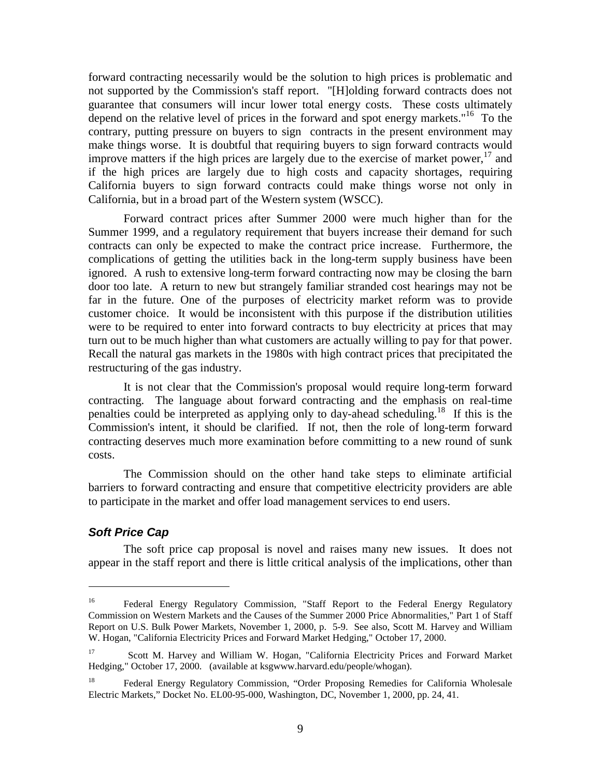forward contracting necessarily would be the solution to high prices is problematic and not supported by the Commission's staff report. "[H]olding forward contracts does not guarantee that consumers will incur lower total energy costs. These costs ultimately depend on the relative level of prices in the forward and spot energy markets."<sup>16</sup> To the contrary, putting pressure on buyers to sign contracts in the present environment may make things worse. It is doubtful that requiring buyers to sign forward contracts would improve matters if the high prices are largely due to the exercise of market power,  $17$  and if the high prices are largely due to high costs and capacity shortages, requiring California buyers to sign forward contracts could make things worse not only in California, but in a broad part of the Western system (WSCC).

Forward contract prices after Summer 2000 were much higher than for the Summer 1999, and a regulatory requirement that buyers increase their demand for such contracts can only be expected to make the contract price increase. Furthermore, the complications of getting the utilities back in the long-term supply business have been ignored. A rush to extensive long-term forward contracting now may be closing the barn door too late. A return to new but strangely familiar stranded cost hearings may not be far in the future. One of the purposes of electricity market reform was to provide customer choice. It would be inconsistent with this purpose if the distribution utilities were to be required to enter into forward contracts to buy electricity at prices that may turn out to be much higher than what customers are actually willing to pay for that power. Recall the natural gas markets in the 1980s with high contract prices that precipitated the restructuring of the gas industry.

It is not clear that the Commission's proposal would require long-term forward contracting. The language about forward contracting and the emphasis on real-time penalties could be interpreted as applying only to day-ahead scheduling.<sup>18</sup> If this is the Commission's intent, it should be clarified. If not, then the role of long-term forward contracting deserves much more examination before committing to a new round of sunk costs.

The Commission should on the other hand take steps to eliminate artificial barriers to forward contracting and ensure that competitive electricity providers are able to participate in the market and offer load management services to end users.

## **Soft Price Cap**

 $\overline{a}$ 

The soft price cap proposal is novel and raises many new issues. It does not appear in the staff report and there is little critical analysis of the implications, other than

<sup>&</sup>lt;sup>16</sup> Federal Energy Regulatory Commission, "Staff Report to the Federal Energy Regulatory Commission on Western Markets and the Causes of the Summer 2000 Price Abnormalities," Part 1 of Staff Report on U.S. Bulk Power Markets, November 1, 2000, p. 5-9. See also, Scott M. Harvey and William W. Hogan, "California Electricity Prices and Forward Market Hedging," October 17, 2000.

<sup>17</sup> Scott M. Harvey and William W. Hogan, "California Electricity Prices and Forward Market Hedging," October 17, 2000. (available at ksgwww.harvard.edu/people/whogan).

<sup>&</sup>lt;sup>18</sup> Federal Energy Regulatory Commission, "Order Proposing Remedies for California Wholesale Electric Markets," Docket No. EL00-95-000, Washington, DC, November 1, 2000, pp. 24, 41.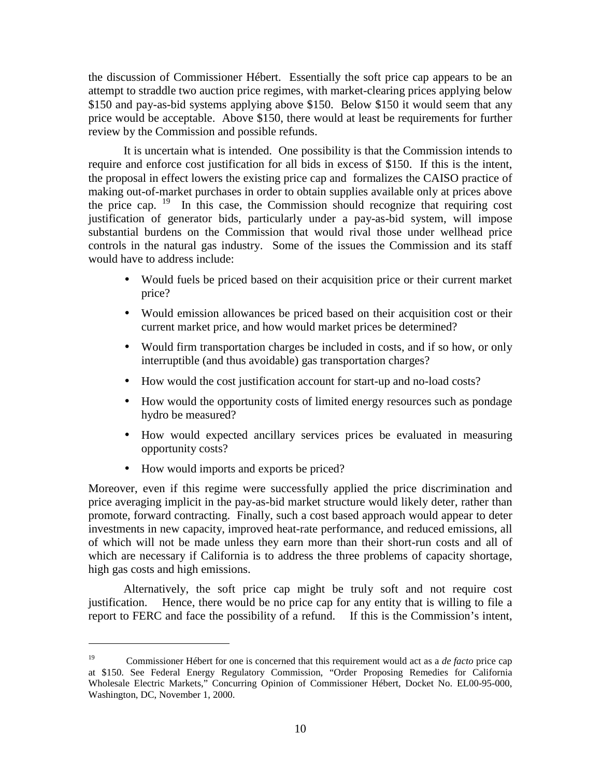the discussion of Commissioner Hébert. Essentially the soft price cap appears to be an attempt to straddle two auction price regimes, with market-clearing prices applying below \$150 and pay-as-bid systems applying above \$150. Below \$150 it would seem that any price would be acceptable. Above \$150, there would at least be requirements for further review by the Commission and possible refunds.

It is uncertain what is intended. One possibility is that the Commission intends to require and enforce cost justification for all bids in excess of \$150. If this is the intent, the proposal in effect lowers the existing price cap and formalizes the CAISO practice of making out-of-market purchases in order to obtain supplies available only at prices above the price cap. 19 In this case, the Commission should recognize that requiring cost justification of generator bids, particularly under a pay-as-bid system, will impose substantial burdens on the Commission that would rival those under wellhead price controls in the natural gas industry. Some of the issues the Commission and its staff would have to address include:

- Would fuels be priced based on their acquisition price or their current market price?
- Would emission allowances be priced based on their acquisition cost or their current market price, and how would market prices be determined?
- Would firm transportation charges be included in costs, and if so how, or only interruptible (and thus avoidable) gas transportation charges?
- How would the cost justification account for start-up and no-load costs?
- How would the opportunity costs of limited energy resources such as pondage hydro be measured?
- How would expected ancillary services prices be evaluated in measuring opportunity costs?
- How would imports and exports be priced?

 $\overline{a}$ 

Moreover, even if this regime were successfully applied the price discrimination and price averaging implicit in the pay-as-bid market structure would likely deter, rather than promote, forward contracting. Finally, such a cost based approach would appear to deter investments in new capacity, improved heat-rate performance, and reduced emissions, all of which will not be made unless they earn more than their short-run costs and all of which are necessary if California is to address the three problems of capacity shortage, high gas costs and high emissions.

Alternatively, the soft price cap might be truly soft and not require cost justification. Hence, there would be no price cap for any entity that is willing to file a report to FERC and face the possibility of a refund. If this is the Commission's intent,

<sup>19</sup> Commissioner Hébert for one is concerned that this requirement would act as a *de facto* price cap at \$150. See Federal Energy Regulatory Commission, "Order Proposing Remedies for California Wholesale Electric Markets," Concurring Opinion of Commissioner Hébert, Docket No. EL00-95-000, Washington, DC, November 1, 2000.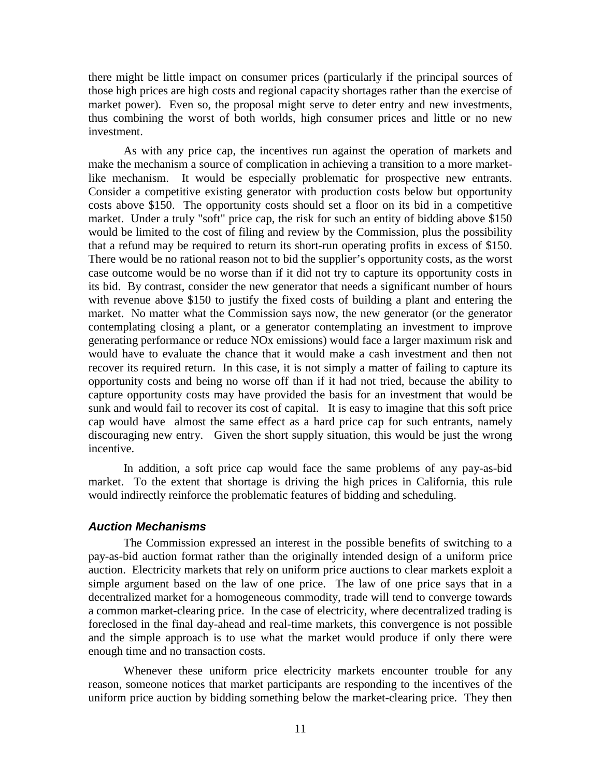there might be little impact on consumer prices (particularly if the principal sources of those high prices are high costs and regional capacity shortages rather than the exercise of market power). Even so, the proposal might serve to deter entry and new investments, thus combining the worst of both worlds, high consumer prices and little or no new investment.

As with any price cap, the incentives run against the operation of markets and make the mechanism a source of complication in achieving a transition to a more marketlike mechanism. It would be especially problematic for prospective new entrants. Consider a competitive existing generator with production costs below but opportunity costs above \$150. The opportunity costs should set a floor on its bid in a competitive market. Under a truly "soft" price cap, the risk for such an entity of bidding above \$150 would be limited to the cost of filing and review by the Commission, plus the possibility that a refund may be required to return its short-run operating profits in excess of \$150. There would be no rational reason not to bid the supplier's opportunity costs, as the worst case outcome would be no worse than if it did not try to capture its opportunity costs in its bid. By contrast, consider the new generator that needs a significant number of hours with revenue above \$150 to justify the fixed costs of building a plant and entering the market. No matter what the Commission says now, the new generator (or the generator contemplating closing a plant, or a generator contemplating an investment to improve generating performance or reduce NOx emissions) would face a larger maximum risk and would have to evaluate the chance that it would make a cash investment and then not recover its required return. In this case, it is not simply a matter of failing to capture its opportunity costs and being no worse off than if it had not tried, because the ability to capture opportunity costs may have provided the basis for an investment that would be sunk and would fail to recover its cost of capital. It is easy to imagine that this soft price cap would have almost the same effect as a hard price cap for such entrants, namely discouraging new entry. Given the short supply situation, this would be just the wrong incentive.

In addition, a soft price cap would face the same problems of any pay-as-bid market. To the extent that shortage is driving the high prices in California, this rule would indirectly reinforce the problematic features of bidding and scheduling.

#### **Auction Mechanisms**

The Commission expressed an interest in the possible benefits of switching to a pay-as-bid auction format rather than the originally intended design of a uniform price auction. Electricity markets that rely on uniform price auctions to clear markets exploit a simple argument based on the law of one price. The law of one price says that in a decentralized market for a homogeneous commodity, trade will tend to converge towards a common market-clearing price. In the case of electricity, where decentralized trading is foreclosed in the final day-ahead and real-time markets, this convergence is not possible and the simple approach is to use what the market would produce if only there were enough time and no transaction costs.

Whenever these uniform price electricity markets encounter trouble for any reason, someone notices that market participants are responding to the incentives of the uniform price auction by bidding something below the market-clearing price. They then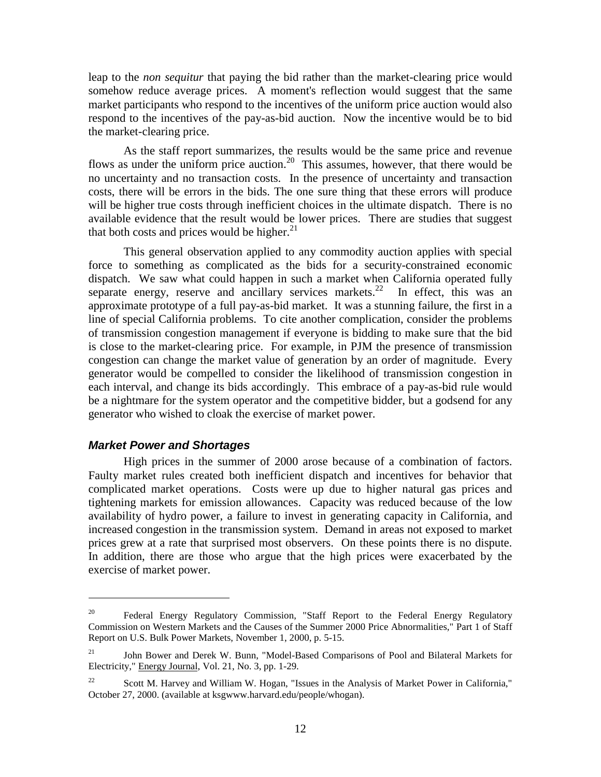leap to the *non sequitur* that paying the bid rather than the market-clearing price would somehow reduce average prices. A moment's reflection would suggest that the same market participants who respond to the incentives of the uniform price auction would also respond to the incentives of the pay-as-bid auction. Now the incentive would be to bid the market-clearing price.

As the staff report summarizes, the results would be the same price and revenue flows as under the uniform price auction.<sup>20</sup> This assumes, however, that there would be no uncertainty and no transaction costs. In the presence of uncertainty and transaction costs, there will be errors in the bids. The one sure thing that these errors will produce will be higher true costs through inefficient choices in the ultimate dispatch. There is no available evidence that the result would be lower prices. There are studies that suggest that both costs and prices would be higher. $^{21}$ 

This general observation applied to any commodity auction applies with special force to something as complicated as the bids for a security-constrained economic dispatch. We saw what could happen in such a market when California operated fully separate energy, reserve and ancillary services markets.<sup>22</sup> In effect, this was an approximate prototype of a full pay-as-bid market. It was a stunning failure, the first in a line of special California problems. To cite another complication, consider the problems of transmission congestion management if everyone is bidding to make sure that the bid is close to the market-clearing price. For example, in PJM the presence of transmission congestion can change the market value of generation by an order of magnitude. Every generator would be compelled to consider the likelihood of transmission congestion in each interval, and change its bids accordingly. This embrace of a pay-as-bid rule would be a nightmare for the system operator and the competitive bidder, but a godsend for any generator who wished to cloak the exercise of market power.

#### **Market Power and Shortages**

 $\overline{a}$ 

High prices in the summer of 2000 arose because of a combination of factors. Faulty market rules created both inefficient dispatch and incentives for behavior that complicated market operations. Costs were up due to higher natural gas prices and tightening markets for emission allowances. Capacity was reduced because of the low availability of hydro power, a failure to invest in generating capacity in California, and increased congestion in the transmission system. Demand in areas not exposed to market prices grew at a rate that surprised most observers. On these points there is no dispute. In addition, there are those who argue that the high prices were exacerbated by the exercise of market power.

<sup>&</sup>lt;sup>20</sup> Federal Energy Regulatory Commission, "Staff Report to the Federal Energy Regulatory Commission on Western Markets and the Causes of the Summer 2000 Price Abnormalities," Part 1 of Staff Report on U.S. Bulk Power Markets, November 1, 2000, p. 5-15.

<sup>&</sup>lt;sup>21</sup> John Bower and Derek W. Bunn, "Model-Based Comparisons of Pool and Bilateral Markets for Electricity," Energy Journal, Vol. 21, No. 3, pp. 1-29.

<sup>&</sup>lt;sup>22</sup> Scott M. Harvey and William W. Hogan, "Issues in the Analysis of Market Power in California," October 27, 2000. (available at ksgwww.harvard.edu/people/whogan).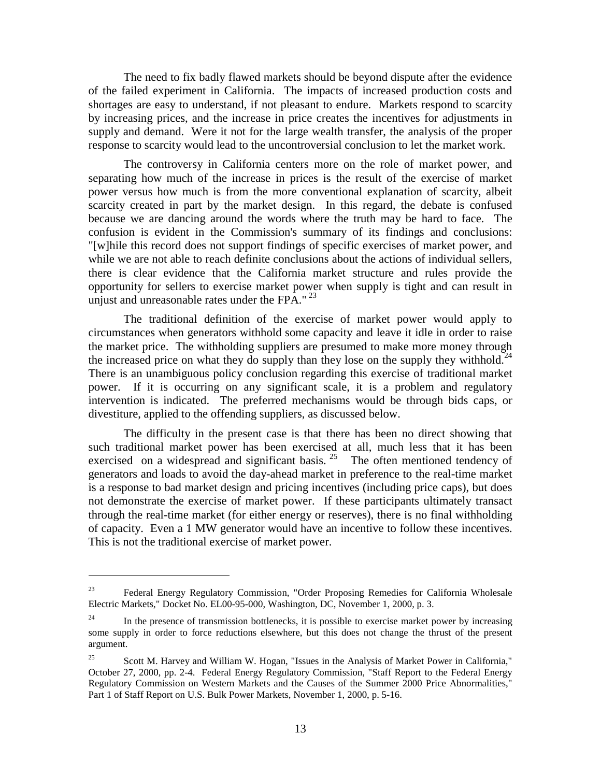The need to fix badly flawed markets should be beyond dispute after the evidence of the failed experiment in California. The impacts of increased production costs and shortages are easy to understand, if not pleasant to endure. Markets respond to scarcity by increasing prices, and the increase in price creates the incentives for adjustments in supply and demand. Were it not for the large wealth transfer, the analysis of the proper response to scarcity would lead to the uncontroversial conclusion to let the market work.

The controversy in California centers more on the role of market power, and separating how much of the increase in prices is the result of the exercise of market power versus how much is from the more conventional explanation of scarcity, albeit scarcity created in part by the market design. In this regard, the debate is confused because we are dancing around the words where the truth may be hard to face. The confusion is evident in the Commission's summary of its findings and conclusions: "[w]hile this record does not support findings of specific exercises of market power, and while we are not able to reach definite conclusions about the actions of individual sellers, there is clear evidence that the California market structure and rules provide the opportunity for sellers to exercise market power when supply is tight and can result in unjust and unreasonable rates under the FPA."<sup>23</sup>

The traditional definition of the exercise of market power would apply to circumstances when generators withhold some capacity and leave it idle in order to raise the market price. The withholding suppliers are presumed to make more money through the increased price on what they do supply than they lose on the supply they withhold.<sup>24</sup> There is an unambiguous policy conclusion regarding this exercise of traditional market power. If it is occurring on any significant scale, it is a problem and regulatory intervention is indicated. The preferred mechanisms would be through bids caps, or divestiture, applied to the offending suppliers, as discussed below.

The difficulty in the present case is that there has been no direct showing that such traditional market power has been exercised at all, much less that it has been exercised on a widespread and significant basis. <sup>25</sup> The often mentioned tendency of generators and loads to avoid the day-ahead market in preference to the real-time market is a response to bad market design and pricing incentives (including price caps), but does not demonstrate the exercise of market power. If these participants ultimately transact through the real-time market (for either energy or reserves), there is no final withholding of capacity. Even a 1 MW generator would have an incentive to follow these incentives. This is not the traditional exercise of market power.

 $23$  Federal Energy Regulatory Commission, "Order Proposing Remedies for California Wholesale Electric Markets," Docket No. EL00-95-000, Washington, DC, November 1, 2000, p. 3.

<sup>&</sup>lt;sup>24</sup> In the presence of transmission bottlenecks, it is possible to exercise market power by increasing some supply in order to force reductions elsewhere, but this does not change the thrust of the present argument.

<sup>&</sup>lt;sup>25</sup> Scott M. Harvey and William W. Hogan, "Issues in the Analysis of Market Power in California," October 27, 2000, pp. 2-4. Federal Energy Regulatory Commission, "Staff Report to the Federal Energy Regulatory Commission on Western Markets and the Causes of the Summer 2000 Price Abnormalities," Part 1 of Staff Report on U.S. Bulk Power Markets, November 1, 2000, p. 5-16.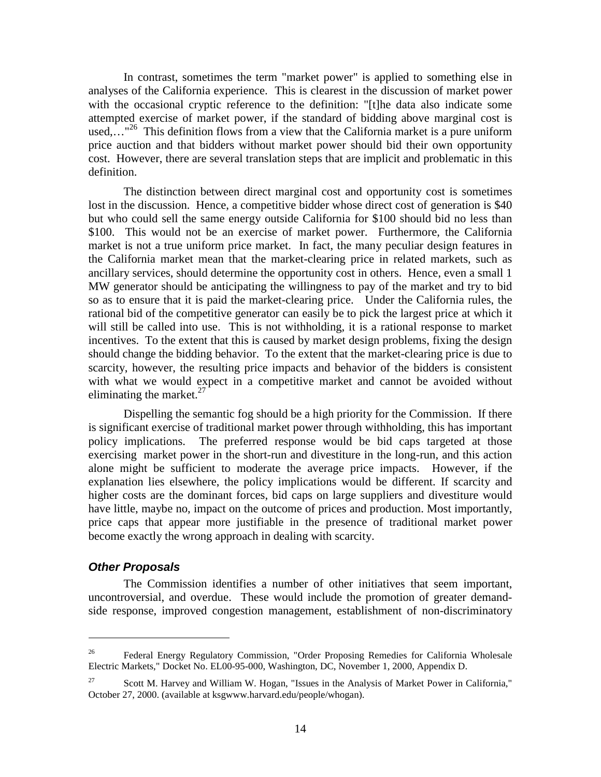In contrast, sometimes the term "market power" is applied to something else in analyses of the California experience. This is clearest in the discussion of market power with the occasional cryptic reference to the definition: "[t]he data also indicate some attempted exercise of market power, if the standard of bidding above marginal cost is used,..."<sup>26</sup> This definition flows from a view that the California market is a pure uniform price auction and that bidders without market power should bid their own opportunity cost. However, there are several translation steps that are implicit and problematic in this definition.

The distinction between direct marginal cost and opportunity cost is sometimes lost in the discussion. Hence, a competitive bidder whose direct cost of generation is \$40 but who could sell the same energy outside California for \$100 should bid no less than \$100. This would not be an exercise of market power. Furthermore, the California market is not a true uniform price market. In fact, the many peculiar design features in the California market mean that the market-clearing price in related markets, such as ancillary services, should determine the opportunity cost in others. Hence, even a small 1 MW generator should be anticipating the willingness to pay of the market and try to bid so as to ensure that it is paid the market-clearing price. Under the California rules, the rational bid of the competitive generator can easily be to pick the largest price at which it will still be called into use. This is not withholding, it is a rational response to market incentives. To the extent that this is caused by market design problems, fixing the design should change the bidding behavior. To the extent that the market-clearing price is due to scarcity, however, the resulting price impacts and behavior of the bidders is consistent with what we would expect in a competitive market and cannot be avoided without eliminating the market. $27$ 

Dispelling the semantic fog should be a high priority for the Commission. If there is significant exercise of traditional market power through withholding, this has important policy implications. The preferred response would be bid caps targeted at those exercising market power in the short-run and divestiture in the long-run, and this action alone might be sufficient to moderate the average price impacts. However, if the explanation lies elsewhere, the policy implications would be different. If scarcity and higher costs are the dominant forces, bid caps on large suppliers and divestiture would have little, maybe no, impact on the outcome of prices and production. Most importantly, price caps that appear more justifiable in the presence of traditional market power become exactly the wrong approach in dealing with scarcity.

## **Other Proposals**

 $\overline{a}$ 

The Commission identifies a number of other initiatives that seem important, uncontroversial, and overdue. These would include the promotion of greater demandside response, improved congestion management, establishment of non-discriminatory

<sup>&</sup>lt;sup>26</sup> Federal Energy Regulatory Commission, "Order Proposing Remedies for California Wholesale Electric Markets," Docket No. EL00-95-000, Washington, DC, November 1, 2000, Appendix D.

<sup>&</sup>lt;sup>27</sup> Scott M. Harvey and William W. Hogan, "Issues in the Analysis of Market Power in California," October 27, 2000. (available at ksgwww.harvard.edu/people/whogan).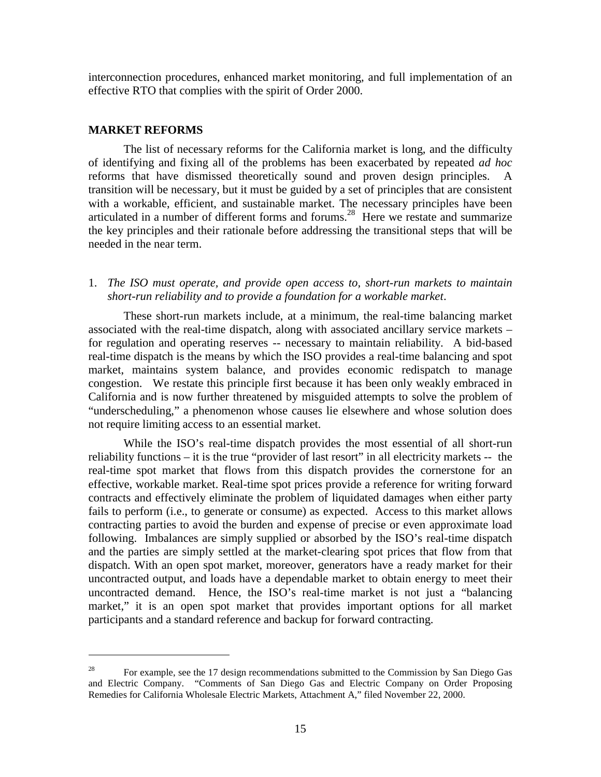interconnection procedures, enhanced market monitoring, and full implementation of an effective RTO that complies with the spirit of Order 2000.

#### **MARKET REFORMS**

 $\overline{a}$ 

The list of necessary reforms for the California market is long, and the difficulty of identifying and fixing all of the problems has been exacerbated by repeated *ad hoc* reforms that have dismissed theoretically sound and proven design principles. A transition will be necessary, but it must be guided by a set of principles that are consistent with a workable, efficient, and sustainable market. The necessary principles have been articulated in a number of different forms and forums.28 Here we restate and summarize the key principles and their rationale before addressing the transitional steps that will be needed in the near term.

1. *The ISO must operate, and provide open access to, short-run markets to maintain short-run reliability and to provide a foundation for a workable market*.

These short-run markets include, at a minimum, the real-time balancing market associated with the real-time dispatch, along with associated ancillary service markets – for regulation and operating reserves -- necessary to maintain reliability. A bid-based real-time dispatch is the means by which the ISO provides a real-time balancing and spot market, maintains system balance, and provides economic redispatch to manage congestion. We restate this principle first because it has been only weakly embraced in California and is now further threatened by misguided attempts to solve the problem of "underscheduling," a phenomenon whose causes lie elsewhere and whose solution does not require limiting access to an essential market.

While the ISO's real-time dispatch provides the most essential of all short-run reliability functions – it is the true "provider of last resort" in all electricity markets -- the real-time spot market that flows from this dispatch provides the cornerstone for an effective, workable market. Real-time spot prices provide a reference for writing forward contracts and effectively eliminate the problem of liquidated damages when either party fails to perform (i.e., to generate or consume) as expected. Access to this market allows contracting parties to avoid the burden and expense of precise or even approximate load following. Imbalances are simply supplied or absorbed by the ISO's real-time dispatch and the parties are simply settled at the market-clearing spot prices that flow from that dispatch. With an open spot market, moreover, generators have a ready market for their uncontracted output, and loads have a dependable market to obtain energy to meet their uncontracted demand. Hence, the ISO's real-time market is not just a "balancing market," it is an open spot market that provides important options for all market participants and a standard reference and backup for forward contracting.

<sup>&</sup>lt;sup>28</sup> For example, see the 17 design recommendations submitted to the Commission by San Diego Gas and Electric Company. "Comments of San Diego Gas and Electric Company on Order Proposing Remedies for California Wholesale Electric Markets, Attachment A," filed November 22, 2000.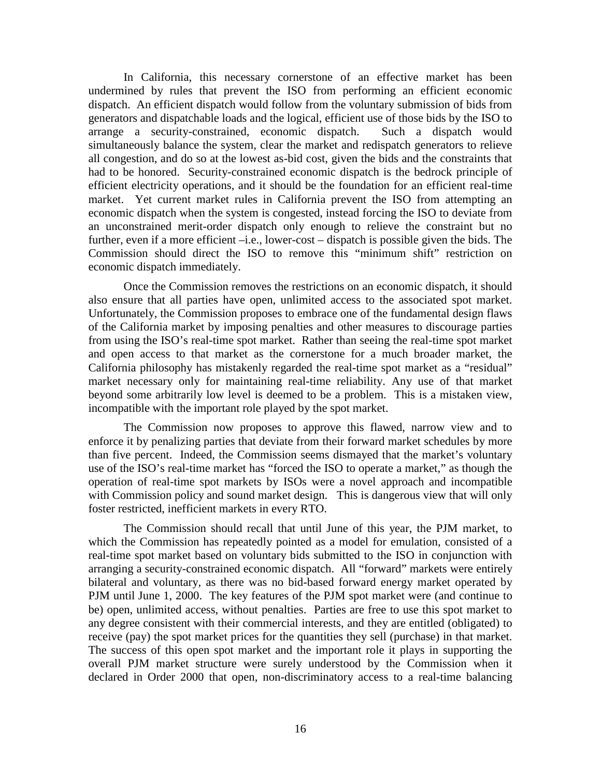In California, this necessary cornerstone of an effective market has been undermined by rules that prevent the ISO from performing an efficient economic dispatch. An efficient dispatch would follow from the voluntary submission of bids from generators and dispatchable loads and the logical, efficient use of those bids by the ISO to arrange a security-constrained, economic dispatch. Such a dispatch would simultaneously balance the system, clear the market and redispatch generators to relieve all congestion, and do so at the lowest as-bid cost, given the bids and the constraints that had to be honored. Security-constrained economic dispatch is the bedrock principle of efficient electricity operations, and it should be the foundation for an efficient real-time market. Yet current market rules in California prevent the ISO from attempting an economic dispatch when the system is congested, instead forcing the ISO to deviate from an unconstrained merit-order dispatch only enough to relieve the constraint but no further, even if a more efficient –i.e., lower-cost – dispatch is possible given the bids. The Commission should direct the ISO to remove this "minimum shift" restriction on economic dispatch immediately.

Once the Commission removes the restrictions on an economic dispatch, it should also ensure that all parties have open, unlimited access to the associated spot market. Unfortunately, the Commission proposes to embrace one of the fundamental design flaws of the California market by imposing penalties and other measures to discourage parties from using the ISO's real-time spot market. Rather than seeing the real-time spot market and open access to that market as the cornerstone for a much broader market, the California philosophy has mistakenly regarded the real-time spot market as a "residual" market necessary only for maintaining real-time reliability. Any use of that market beyond some arbitrarily low level is deemed to be a problem. This is a mistaken view, incompatible with the important role played by the spot market.

The Commission now proposes to approve this flawed, narrow view and to enforce it by penalizing parties that deviate from their forward market schedules by more than five percent. Indeed, the Commission seems dismayed that the market's voluntary use of the ISO's real-time market has "forced the ISO to operate a market," as though the operation of real-time spot markets by ISOs were a novel approach and incompatible with Commission policy and sound market design. This is dangerous view that will only foster restricted, inefficient markets in every RTO.

The Commission should recall that until June of this year, the PJM market, to which the Commission has repeatedly pointed as a model for emulation, consisted of a real-time spot market based on voluntary bids submitted to the ISO in conjunction with arranging a security-constrained economic dispatch. All "forward" markets were entirely bilateral and voluntary, as there was no bid-based forward energy market operated by PJM until June 1, 2000. The key features of the PJM spot market were (and continue to be) open, unlimited access, without penalties. Parties are free to use this spot market to any degree consistent with their commercial interests, and they are entitled (obligated) to receive (pay) the spot market prices for the quantities they sell (purchase) in that market. The success of this open spot market and the important role it plays in supporting the overall PJM market structure were surely understood by the Commission when it declared in Order 2000 that open, non-discriminatory access to a real-time balancing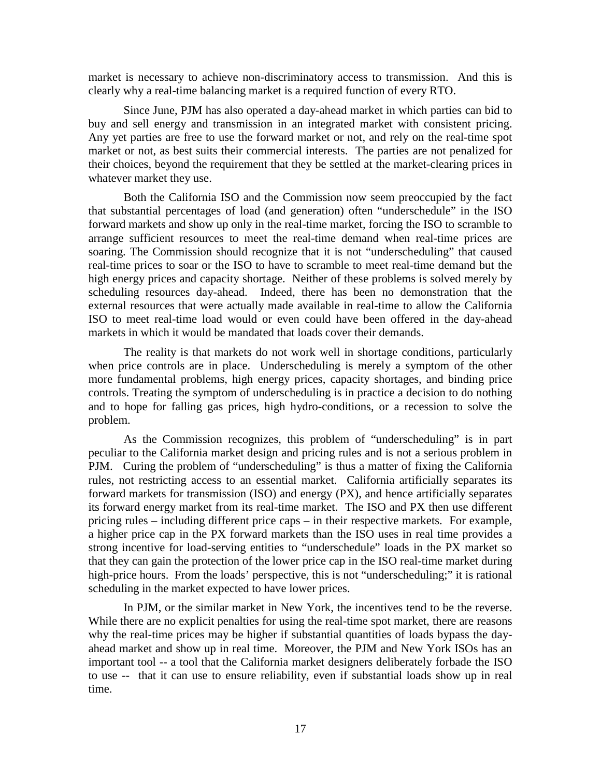market is necessary to achieve non-discriminatory access to transmission. And this is clearly why a real-time balancing market is a required function of every RTO.

Since June, PJM has also operated a day-ahead market in which parties can bid to buy and sell energy and transmission in an integrated market with consistent pricing. Any yet parties are free to use the forward market or not, and rely on the real-time spot market or not, as best suits their commercial interests. The parties are not penalized for their choices, beyond the requirement that they be settled at the market-clearing prices in whatever market they use.

Both the California ISO and the Commission now seem preoccupied by the fact that substantial percentages of load (and generation) often "underschedule" in the ISO forward markets and show up only in the real-time market, forcing the ISO to scramble to arrange sufficient resources to meet the real-time demand when real-time prices are soaring. The Commission should recognize that it is not "underscheduling" that caused real-time prices to soar or the ISO to have to scramble to meet real-time demand but the high energy prices and capacity shortage. Neither of these problems is solved merely by scheduling resources day-ahead. Indeed, there has been no demonstration that the external resources that were actually made available in real-time to allow the California ISO to meet real-time load would or even could have been offered in the day-ahead markets in which it would be mandated that loads cover their demands.

The reality is that markets do not work well in shortage conditions, particularly when price controls are in place. Underscheduling is merely a symptom of the other more fundamental problems, high energy prices, capacity shortages, and binding price controls. Treating the symptom of underscheduling is in practice a decision to do nothing and to hope for falling gas prices, high hydro-conditions, or a recession to solve the problem.

As the Commission recognizes, this problem of "underscheduling" is in part peculiar to the California market design and pricing rules and is not a serious problem in PJM. Curing the problem of "underscheduling" is thus a matter of fixing the California rules, not restricting access to an essential market. California artificially separates its forward markets for transmission (ISO) and energy (PX), and hence artificially separates its forward energy market from its real-time market. The ISO and PX then use different pricing rules – including different price caps – in their respective markets. For example, a higher price cap in the PX forward markets than the ISO uses in real time provides a strong incentive for load-serving entities to "underschedule" loads in the PX market so that they can gain the protection of the lower price cap in the ISO real-time market during high-price hours. From the loads' perspective, this is not "underscheduling;" it is rational scheduling in the market expected to have lower prices.

In PJM, or the similar market in New York, the incentives tend to be the reverse. While there are no explicit penalties for using the real-time spot market, there are reasons why the real-time prices may be higher if substantial quantities of loads bypass the dayahead market and show up in real time. Moreover, the PJM and New York ISOs has an important tool -- a tool that the California market designers deliberately forbade the ISO to use -- that it can use to ensure reliability, even if substantial loads show up in real time.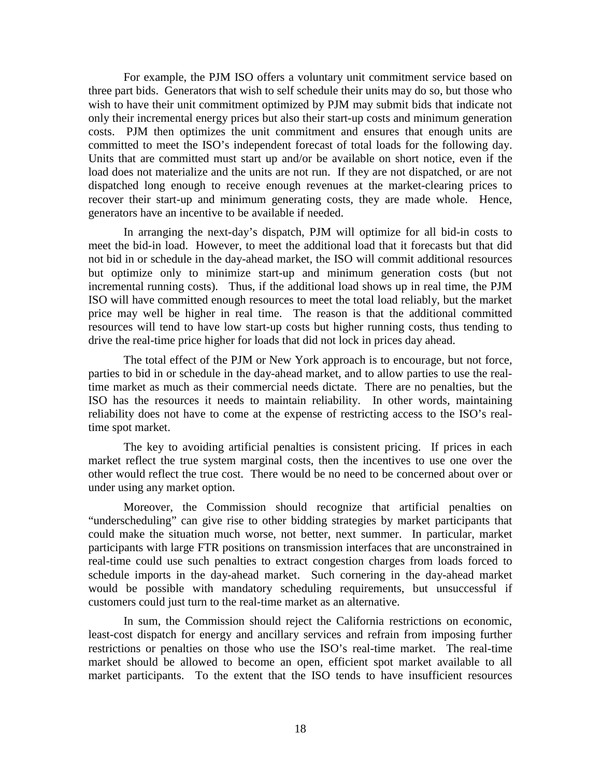For example, the PJM ISO offers a voluntary unit commitment service based on three part bids. Generators that wish to self schedule their units may do so, but those who wish to have their unit commitment optimized by PJM may submit bids that indicate not only their incremental energy prices but also their start-up costs and minimum generation costs. PJM then optimizes the unit commitment and ensures that enough units are committed to meet the ISO's independent forecast of total loads for the following day. Units that are committed must start up and/or be available on short notice, even if the load does not materialize and the units are not run. If they are not dispatched, or are not dispatched long enough to receive enough revenues at the market-clearing prices to recover their start-up and minimum generating costs, they are made whole. Hence, generators have an incentive to be available if needed.

In arranging the next-day's dispatch, PJM will optimize for all bid-in costs to meet the bid-in load. However, to meet the additional load that it forecasts but that did not bid in or schedule in the day-ahead market, the ISO will commit additional resources but optimize only to minimize start-up and minimum generation costs (but not incremental running costs). Thus, if the additional load shows up in real time, the PJM ISO will have committed enough resources to meet the total load reliably, but the market price may well be higher in real time. The reason is that the additional committed resources will tend to have low start-up costs but higher running costs, thus tending to drive the real-time price higher for loads that did not lock in prices day ahead.

The total effect of the PJM or New York approach is to encourage, but not force, parties to bid in or schedule in the day-ahead market, and to allow parties to use the realtime market as much as their commercial needs dictate. There are no penalties, but the ISO has the resources it needs to maintain reliability. In other words, maintaining reliability does not have to come at the expense of restricting access to the ISO's realtime spot market.

The key to avoiding artificial penalties is consistent pricing. If prices in each market reflect the true system marginal costs, then the incentives to use one over the other would reflect the true cost. There would be no need to be concerned about over or under using any market option.

Moreover, the Commission should recognize that artificial penalties on "underscheduling" can give rise to other bidding strategies by market participants that could make the situation much worse, not better, next summer. In particular, market participants with large FTR positions on transmission interfaces that are unconstrained in real-time could use such penalties to extract congestion charges from loads forced to schedule imports in the day-ahead market. Such cornering in the day-ahead market would be possible with mandatory scheduling requirements, but unsuccessful if customers could just turn to the real-time market as an alternative.

In sum, the Commission should reject the California restrictions on economic, least-cost dispatch for energy and ancillary services and refrain from imposing further restrictions or penalties on those who use the ISO's real-time market. The real-time market should be allowed to become an open, efficient spot market available to all market participants. To the extent that the ISO tends to have insufficient resources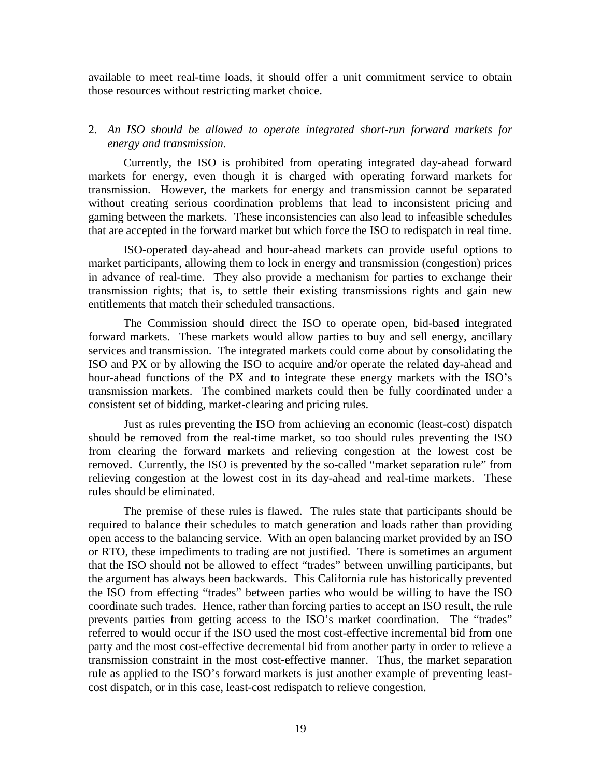available to meet real-time loads, it should offer a unit commitment service to obtain those resources without restricting market choice.

## 2. *An ISO should be allowed to operate integrated short-run forward markets for energy and transmission.*

Currently, the ISO is prohibited from operating integrated day-ahead forward markets for energy, even though it is charged with operating forward markets for transmission. However, the markets for energy and transmission cannot be separated without creating serious coordination problems that lead to inconsistent pricing and gaming between the markets. These inconsistencies can also lead to infeasible schedules that are accepted in the forward market but which force the ISO to redispatch in real time.

ISO-operated day-ahead and hour-ahead markets can provide useful options to market participants, allowing them to lock in energy and transmission (congestion) prices in advance of real-time. They also provide a mechanism for parties to exchange their transmission rights; that is, to settle their existing transmissions rights and gain new entitlements that match their scheduled transactions.

 The Commission should direct the ISO to operate open, bid-based integrated forward markets. These markets would allow parties to buy and sell energy, ancillary services and transmission. The integrated markets could come about by consolidating the ISO and PX or by allowing the ISO to acquire and/or operate the related day-ahead and hour-ahead functions of the PX and to integrate these energy markets with the ISO's transmission markets. The combined markets could then be fully coordinated under a consistent set of bidding, market-clearing and pricing rules.

Just as rules preventing the ISO from achieving an economic (least-cost) dispatch should be removed from the real-time market, so too should rules preventing the ISO from clearing the forward markets and relieving congestion at the lowest cost be removed. Currently, the ISO is prevented by the so-called "market separation rule" from relieving congestion at the lowest cost in its day-ahead and real-time markets. These rules should be eliminated.

The premise of these rules is flawed. The rules state that participants should be required to balance their schedules to match generation and loads rather than providing open access to the balancing service. With an open balancing market provided by an ISO or RTO, these impediments to trading are not justified. There is sometimes an argument that the ISO should not be allowed to effect "trades" between unwilling participants, but the argument has always been backwards. This California rule has historically prevented the ISO from effecting "trades" between parties who would be willing to have the ISO coordinate such trades. Hence, rather than forcing parties to accept an ISO result, the rule prevents parties from getting access to the ISO's market coordination. The "trades" referred to would occur if the ISO used the most cost-effective incremental bid from one party and the most cost-effective decremental bid from another party in order to relieve a transmission constraint in the most cost-effective manner. Thus, the market separation rule as applied to the ISO's forward markets is just another example of preventing leastcost dispatch, or in this case, least-cost redispatch to relieve congestion.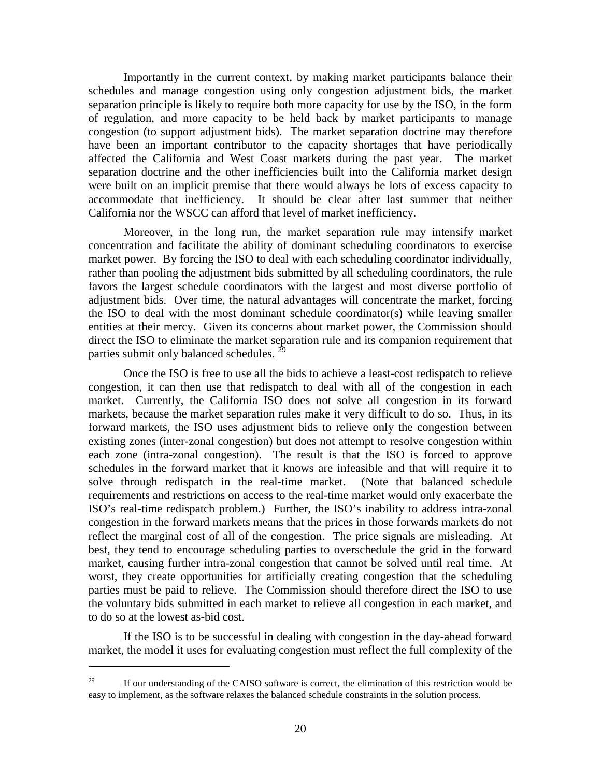Importantly in the current context, by making market participants balance their schedules and manage congestion using only congestion adjustment bids, the market separation principle is likely to require both more capacity for use by the ISO, in the form of regulation, and more capacity to be held back by market participants to manage congestion (to support adjustment bids). The market separation doctrine may therefore have been an important contributor to the capacity shortages that have periodically affected the California and West Coast markets during the past year. The market separation doctrine and the other inefficiencies built into the California market design were built on an implicit premise that there would always be lots of excess capacity to accommodate that inefficiency. It should be clear after last summer that neither California nor the WSCC can afford that level of market inefficiency.

Moreover, in the long run, the market separation rule may intensify market concentration and facilitate the ability of dominant scheduling coordinators to exercise market power. By forcing the ISO to deal with each scheduling coordinator individually, rather than pooling the adjustment bids submitted by all scheduling coordinators, the rule favors the largest schedule coordinators with the largest and most diverse portfolio of adjustment bids. Over time, the natural advantages will concentrate the market, forcing the ISO to deal with the most dominant schedule coordinator(s) while leaving smaller entities at their mercy. Given its concerns about market power, the Commission should direct the ISO to eliminate the market separation rule and its companion requirement that parties submit only balanced schedules.<sup>29</sup>

Once the ISO is free to use all the bids to achieve a least-cost redispatch to relieve congestion, it can then use that redispatch to deal with all of the congestion in each market. Currently, the California ISO does not solve all congestion in its forward markets, because the market separation rules make it very difficult to do so. Thus, in its forward markets, the ISO uses adjustment bids to relieve only the congestion between existing zones (inter-zonal congestion) but does not attempt to resolve congestion within each zone (intra-zonal congestion). The result is that the ISO is forced to approve schedules in the forward market that it knows are infeasible and that will require it to solve through redispatch in the real-time market. (Note that balanced schedule requirements and restrictions on access to the real-time market would only exacerbate the ISO's real-time redispatch problem.) Further, the ISO's inability to address intra-zonal congestion in the forward markets means that the prices in those forwards markets do not reflect the marginal cost of all of the congestion. The price signals are misleading. At best, they tend to encourage scheduling parties to overschedule the grid in the forward market, causing further intra-zonal congestion that cannot be solved until real time. At worst, they create opportunities for artificially creating congestion that the scheduling parties must be paid to relieve. The Commission should therefore direct the ISO to use the voluntary bids submitted in each market to relieve all congestion in each market, and to do so at the lowest as-bid cost.

If the ISO is to be successful in dealing with congestion in the day-ahead forward market, the model it uses for evaluating congestion must reflect the full complexity of the

<sup>&</sup>lt;sup>29</sup> If our understanding of the CAISO software is correct, the elimination of this restriction would be easy to implement, as the software relaxes the balanced schedule constraints in the solution process.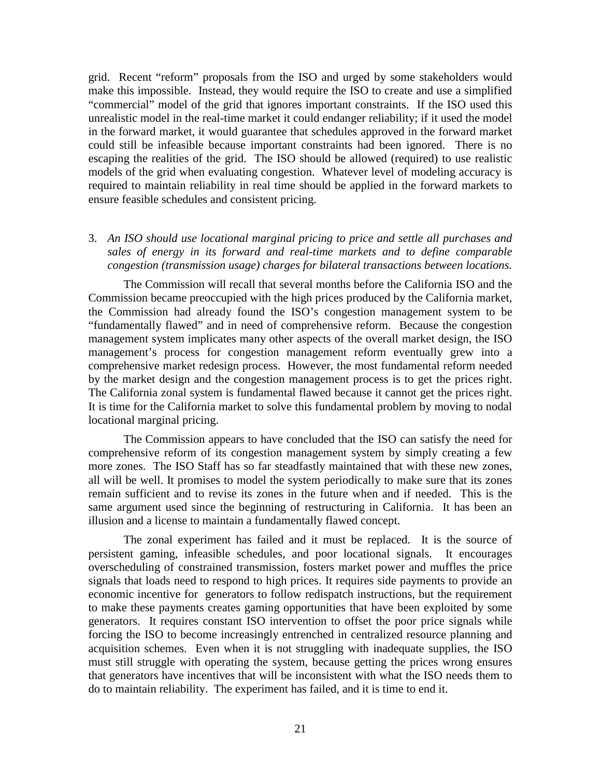grid. Recent "reform" proposals from the ISO and urged by some stakeholders would make this impossible. Instead, they would require the ISO to create and use a simplified "commercial" model of the grid that ignores important constraints. If the ISO used this unrealistic model in the real-time market it could endanger reliability; if it used the model in the forward market, it would guarantee that schedules approved in the forward market could still be infeasible because important constraints had been ignored. There is no escaping the realities of the grid. The ISO should be allowed (required) to use realistic models of the grid when evaluating congestion. Whatever level of modeling accuracy is required to maintain reliability in real time should be applied in the forward markets to ensure feasible schedules and consistent pricing.

## 3. *An ISO should use locational marginal pricing to price and settle all purchases and sales of energy in its forward and real-time markets and to define comparable congestion (transmission usage) charges for bilateral transactions between locations.*

The Commission will recall that several months before the California ISO and the Commission became preoccupied with the high prices produced by the California market, the Commission had already found the ISO's congestion management system to be "fundamentally flawed" and in need of comprehensive reform. Because the congestion management system implicates many other aspects of the overall market design, the ISO management's process for congestion management reform eventually grew into a comprehensive market redesign process. However, the most fundamental reform needed by the market design and the congestion management process is to get the prices right. The California zonal system is fundamental flawed because it cannot get the prices right. It is time for the California market to solve this fundamental problem by moving to nodal locational marginal pricing.

The Commission appears to have concluded that the ISO can satisfy the need for comprehensive reform of its congestion management system by simply creating a few more zones. The ISO Staff has so far steadfastly maintained that with these new zones, all will be well. It promises to model the system periodically to make sure that its zones remain sufficient and to revise its zones in the future when and if needed. This is the same argument used since the beginning of restructuring in California. It has been an illusion and a license to maintain a fundamentally flawed concept.

The zonal experiment has failed and it must be replaced. It is the source of persistent gaming, infeasible schedules, and poor locational signals. It encourages overscheduling of constrained transmission, fosters market power and muffles the price signals that loads need to respond to high prices. It requires side payments to provide an economic incentive for generators to follow redispatch instructions, but the requirement to make these payments creates gaming opportunities that have been exploited by some generators. It requires constant ISO intervention to offset the poor price signals while forcing the ISO to become increasingly entrenched in centralized resource planning and acquisition schemes. Even when it is not struggling with inadequate supplies, the ISO must still struggle with operating the system, because getting the prices wrong ensures that generators have incentives that will be inconsistent with what the ISO needs them to do to maintain reliability. The experiment has failed, and it is time to end it.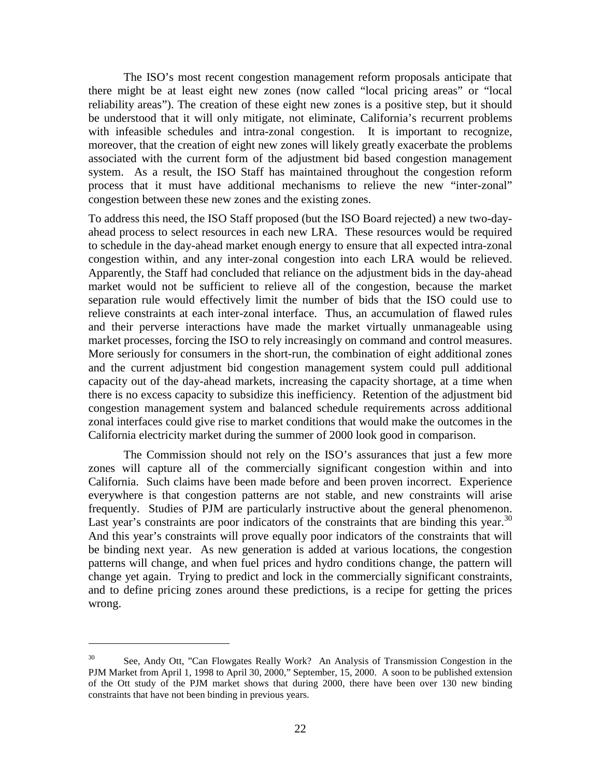The ISO's most recent congestion management reform proposals anticipate that there might be at least eight new zones (now called "local pricing areas" or "local reliability areas"). The creation of these eight new zones is a positive step, but it should be understood that it will only mitigate, not eliminate, California's recurrent problems with infeasible schedules and intra-zonal congestion. It is important to recognize, moreover, that the creation of eight new zones will likely greatly exacerbate the problems associated with the current form of the adjustment bid based congestion management system. As a result, the ISO Staff has maintained throughout the congestion reform process that it must have additional mechanisms to relieve the new "inter-zonal" congestion between these new zones and the existing zones.

To address this need, the ISO Staff proposed (but the ISO Board rejected) a new two-dayahead process to select resources in each new LRA. These resources would be required to schedule in the day-ahead market enough energy to ensure that all expected intra-zonal congestion within, and any inter-zonal congestion into each LRA would be relieved. Apparently, the Staff had concluded that reliance on the adjustment bids in the day-ahead market would not be sufficient to relieve all of the congestion, because the market separation rule would effectively limit the number of bids that the ISO could use to relieve constraints at each inter-zonal interface. Thus, an accumulation of flawed rules and their perverse interactions have made the market virtually unmanageable using market processes, forcing the ISO to rely increasingly on command and control measures. More seriously for consumers in the short-run, the combination of eight additional zones and the current adjustment bid congestion management system could pull additional capacity out of the day-ahead markets, increasing the capacity shortage, at a time when there is no excess capacity to subsidize this inefficiency. Retention of the adjustment bid congestion management system and balanced schedule requirements across additional zonal interfaces could give rise to market conditions that would make the outcomes in the California electricity market during the summer of 2000 look good in comparison.

The Commission should not rely on the ISO's assurances that just a few more zones will capture all of the commercially significant congestion within and into California. Such claims have been made before and been proven incorrect. Experience everywhere is that congestion patterns are not stable, and new constraints will arise frequently. Studies of PJM are particularly instructive about the general phenomenon. Last year's constraints are poor indicators of the constraints that are binding this year.<sup>30</sup> And this year's constraints will prove equally poor indicators of the constraints that will be binding next year. As new generation is added at various locations, the congestion patterns will change, and when fuel prices and hydro conditions change, the pattern will change yet again. Trying to predict and lock in the commercially significant constraints, and to define pricing zones around these predictions, is a recipe for getting the prices wrong.

<sup>30</sup> See, Andy Ott, "Can Flowgates Really Work? An Analysis of Transmission Congestion in the PJM Market from April 1, 1998 to April 30, 2000," September, 15, 2000. A soon to be published extension of the Ott study of the PJM market shows that during 2000, there have been over 130 new binding constraints that have not been binding in previous years.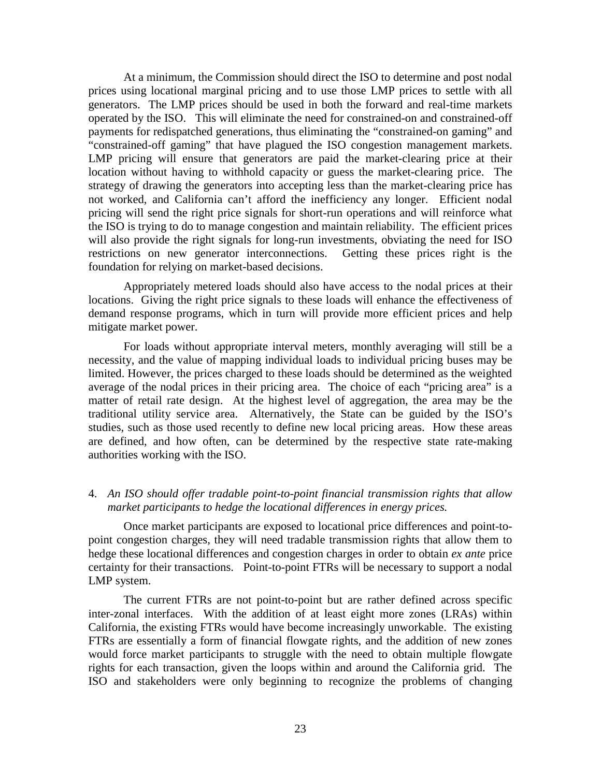At a minimum, the Commission should direct the ISO to determine and post nodal prices using locational marginal pricing and to use those LMP prices to settle with all generators. The LMP prices should be used in both the forward and real-time markets operated by the ISO. This will eliminate the need for constrained-on and constrained-off payments for redispatched generations, thus eliminating the "constrained-on gaming" and "constrained-off gaming" that have plagued the ISO congestion management markets. LMP pricing will ensure that generators are paid the market-clearing price at their location without having to withhold capacity or guess the market-clearing price. The strategy of drawing the generators into accepting less than the market-clearing price has not worked, and California can't afford the inefficiency any longer. Efficient nodal pricing will send the right price signals for short-run operations and will reinforce what the ISO is trying to do to manage congestion and maintain reliability. The efficient prices will also provide the right signals for long-run investments, obviating the need for ISO restrictions on new generator interconnections. Getting these prices right is the foundation for relying on market-based decisions.

Appropriately metered loads should also have access to the nodal prices at their locations. Giving the right price signals to these loads will enhance the effectiveness of demand response programs, which in turn will provide more efficient prices and help mitigate market power.

For loads without appropriate interval meters, monthly averaging will still be a necessity, and the value of mapping individual loads to individual pricing buses may be limited. However, the prices charged to these loads should be determined as the weighted average of the nodal prices in their pricing area. The choice of each "pricing area" is a matter of retail rate design. At the highest level of aggregation, the area may be the traditional utility service area. Alternatively, the State can be guided by the ISO's studies, such as those used recently to define new local pricing areas. How these areas are defined, and how often, can be determined by the respective state rate-making authorities working with the ISO.

## 4. *An ISO should offer tradable point-to-point financial transmission rights that allow market participants to hedge the locational differences in energy prices.*

Once market participants are exposed to locational price differences and point-topoint congestion charges, they will need tradable transmission rights that allow them to hedge these locational differences and congestion charges in order to obtain *ex ante* price certainty for their transactions. Point-to-point FTRs will be necessary to support a nodal LMP system.

 The current FTRs are not point-to-point but are rather defined across specific inter-zonal interfaces. With the addition of at least eight more zones (LRAs) within California, the existing FTRs would have become increasingly unworkable. The existing FTRs are essentially a form of financial flowgate rights, and the addition of new zones would force market participants to struggle with the need to obtain multiple flowgate rights for each transaction, given the loops within and around the California grid. The ISO and stakeholders were only beginning to recognize the problems of changing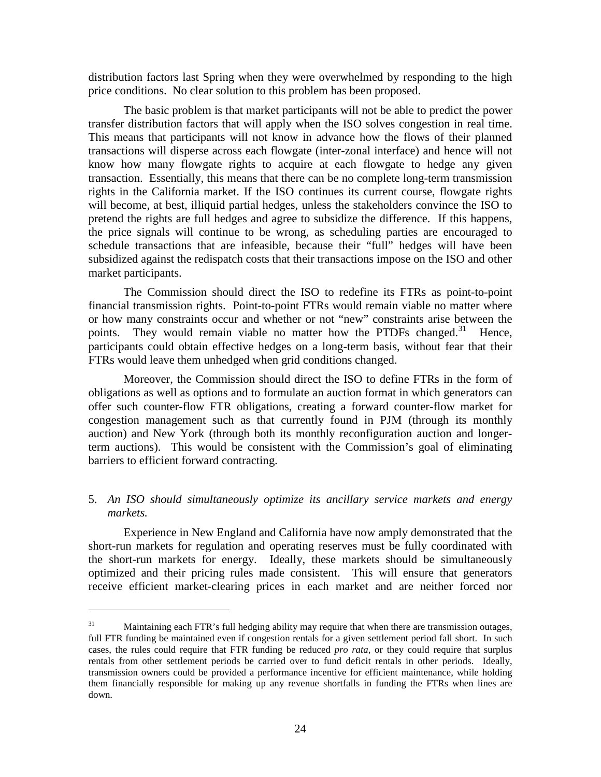distribution factors last Spring when they were overwhelmed by responding to the high price conditions. No clear solution to this problem has been proposed.

The basic problem is that market participants will not be able to predict the power transfer distribution factors that will apply when the ISO solves congestion in real time. This means that participants will not know in advance how the flows of their planned transactions will disperse across each flowgate (inter-zonal interface) and hence will not know how many flowgate rights to acquire at each flowgate to hedge any given transaction. Essentially, this means that there can be no complete long-term transmission rights in the California market. If the ISO continues its current course, flowgate rights will become, at best, illiquid partial hedges, unless the stakeholders convince the ISO to pretend the rights are full hedges and agree to subsidize the difference. If this happens, the price signals will continue to be wrong, as scheduling parties are encouraged to schedule transactions that are infeasible, because their "full" hedges will have been subsidized against the redispatch costs that their transactions impose on the ISO and other market participants.

The Commission should direct the ISO to redefine its FTRs as point-to-point financial transmission rights. Point-to-point FTRs would remain viable no matter where or how many constraints occur and whether or not "new" constraints arise between the points. They would remain viable no matter how the PTDFs changed.<sup>31</sup> Hence, participants could obtain effective hedges on a long-term basis, without fear that their FTRs would leave them unhedged when grid conditions changed.

Moreover, the Commission should direct the ISO to define FTRs in the form of obligations as well as options and to formulate an auction format in which generators can offer such counter-flow FTR obligations, creating a forward counter-flow market for congestion management such as that currently found in PJM (through its monthly auction) and New York (through both its monthly reconfiguration auction and longerterm auctions). This would be consistent with the Commission's goal of eliminating barriers to efficient forward contracting.

## 5. *An ISO should simultaneously optimize its ancillary service markets and energy markets.*

Experience in New England and California have now amply demonstrated that the short-run markets for regulation and operating reserves must be fully coordinated with the short-run markets for energy. Ideally, these markets should be simultaneously optimized and their pricing rules made consistent. This will ensure that generators receive efficient market-clearing prices in each market and are neither forced nor

 $31$  Maintaining each FTR's full hedging ability may require that when there are transmission outages, full FTR funding be maintained even if congestion rentals for a given settlement period fall short. In such cases, the rules could require that FTR funding be reduced *pro rata*, or they could require that surplus rentals from other settlement periods be carried over to fund deficit rentals in other periods. Ideally, transmission owners could be provided a performance incentive for efficient maintenance, while holding them financially responsible for making up any revenue shortfalls in funding the FTRs when lines are down.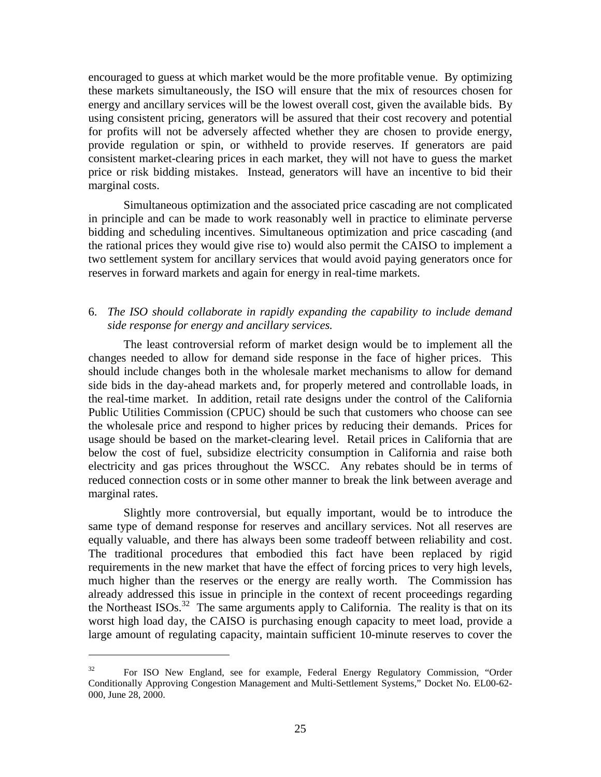encouraged to guess at which market would be the more profitable venue. By optimizing these markets simultaneously, the ISO will ensure that the mix of resources chosen for energy and ancillary services will be the lowest overall cost, given the available bids. By using consistent pricing, generators will be assured that their cost recovery and potential for profits will not be adversely affected whether they are chosen to provide energy, provide regulation or spin, or withheld to provide reserves. If generators are paid consistent market-clearing prices in each market, they will not have to guess the market price or risk bidding mistakes. Instead, generators will have an incentive to bid their marginal costs.

Simultaneous optimization and the associated price cascading are not complicated in principle and can be made to work reasonably well in practice to eliminate perverse bidding and scheduling incentives. Simultaneous optimization and price cascading (and the rational prices they would give rise to) would also permit the CAISO to implement a two settlement system for ancillary services that would avoid paying generators once for reserves in forward markets and again for energy in real-time markets.

## 6. *The ISO should collaborate in rapidly expanding the capability to include demand side response for energy and ancillary services.*

The least controversial reform of market design would be to implement all the changes needed to allow for demand side response in the face of higher prices. This should include changes both in the wholesale market mechanisms to allow for demand side bids in the day-ahead markets and, for properly metered and controllable loads, in the real-time market. In addition, retail rate designs under the control of the California Public Utilities Commission (CPUC) should be such that customers who choose can see the wholesale price and respond to higher prices by reducing their demands. Prices for usage should be based on the market-clearing level. Retail prices in California that are below the cost of fuel, subsidize electricity consumption in California and raise both electricity and gas prices throughout the WSCC. Any rebates should be in terms of reduced connection costs or in some other manner to break the link between average and marginal rates.

Slightly more controversial, but equally important, would be to introduce the same type of demand response for reserves and ancillary services. Not all reserves are equally valuable, and there has always been some tradeoff between reliability and cost. The traditional procedures that embodied this fact have been replaced by rigid requirements in the new market that have the effect of forcing prices to very high levels, much higher than the reserves or the energy are really worth. The Commission has already addressed this issue in principle in the context of recent proceedings regarding the Northeast ISOs.<sup>32</sup> The same arguments apply to California. The reality is that on its worst high load day, the CAISO is purchasing enough capacity to meet load, provide a large amount of regulating capacity, maintain sufficient 10-minute reserves to cover the

<sup>&</sup>lt;sup>32</sup> For ISO New England, see for example, Federal Energy Regulatory Commission, "Order Conditionally Approving Congestion Management and Multi-Settlement Systems," Docket No. EL00-62- 000, June 28, 2000.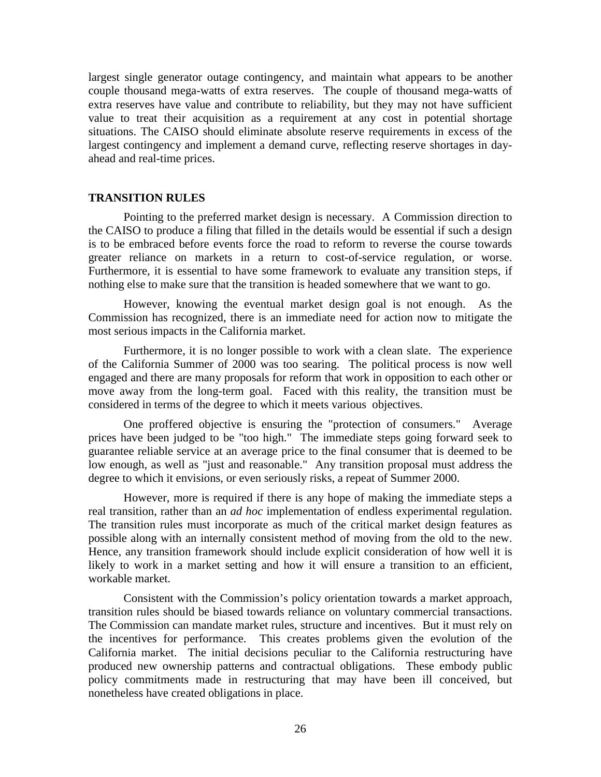largest single generator outage contingency, and maintain what appears to be another couple thousand mega-watts of extra reserves. The couple of thousand mega-watts of extra reserves have value and contribute to reliability, but they may not have sufficient value to treat their acquisition as a requirement at any cost in potential shortage situations. The CAISO should eliminate absolute reserve requirements in excess of the largest contingency and implement a demand curve, reflecting reserve shortages in dayahead and real-time prices.

#### **TRANSITION RULES**

Pointing to the preferred market design is necessary. A Commission direction to the CAISO to produce a filing that filled in the details would be essential if such a design is to be embraced before events force the road to reform to reverse the course towards greater reliance on markets in a return to cost-of-service regulation, or worse. Furthermore, it is essential to have some framework to evaluate any transition steps, if nothing else to make sure that the transition is headed somewhere that we want to go.

However, knowing the eventual market design goal is not enough. As the Commission has recognized, there is an immediate need for action now to mitigate the most serious impacts in the California market.

Furthermore, it is no longer possible to work with a clean slate. The experience of the California Summer of 2000 was too searing. The political process is now well engaged and there are many proposals for reform that work in opposition to each other or move away from the long-term goal. Faced with this reality, the transition must be considered in terms of the degree to which it meets various objectives.

One proffered objective is ensuring the "protection of consumers." Average prices have been judged to be "too high." The immediate steps going forward seek to guarantee reliable service at an average price to the final consumer that is deemed to be low enough, as well as "just and reasonable." Any transition proposal must address the degree to which it envisions, or even seriously risks, a repeat of Summer 2000.

However, more is required if there is any hope of making the immediate steps a real transition, rather than an *ad hoc* implementation of endless experimental regulation. The transition rules must incorporate as much of the critical market design features as possible along with an internally consistent method of moving from the old to the new. Hence, any transition framework should include explicit consideration of how well it is likely to work in a market setting and how it will ensure a transition to an efficient, workable market.

Consistent with the Commission's policy orientation towards a market approach, transition rules should be biased towards reliance on voluntary commercial transactions. The Commission can mandate market rules, structure and incentives. But it must rely on the incentives for performance. This creates problems given the evolution of the California market. The initial decisions peculiar to the California restructuring have produced new ownership patterns and contractual obligations. These embody public policy commitments made in restructuring that may have been ill conceived, but nonetheless have created obligations in place.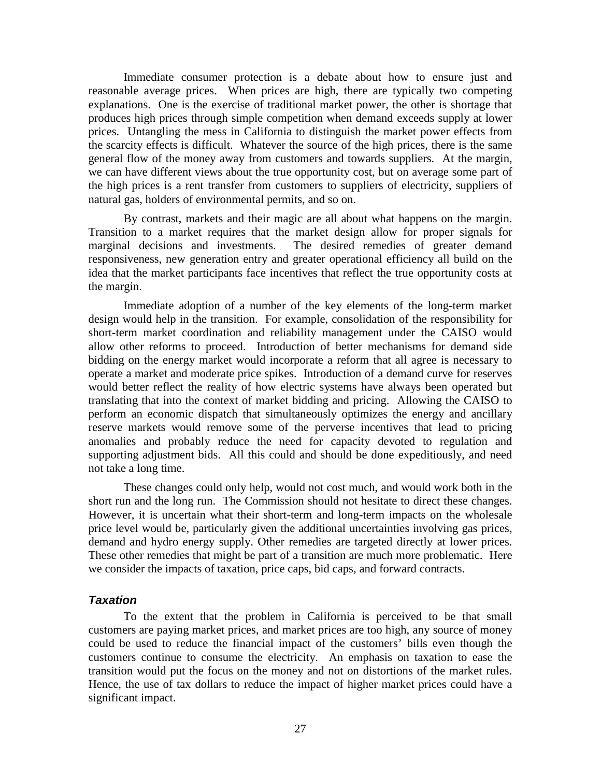Immediate consumer protection is a debate about how to ensure just and reasonable average prices. When prices are high, there are typically two competing explanations. One is the exercise of traditional market power, the other is shortage that produces high prices through simple competition when demand exceeds supply at lower prices. Untangling the mess in California to distinguish the market power effects from the scarcity effects is difficult. Whatever the source of the high prices, there is the same general flow of the money away from customers and towards suppliers. At the margin, we can have different views about the true opportunity cost, but on average some part of the high prices is a rent transfer from customers to suppliers of electricity, suppliers of natural gas, holders of environmental permits, and so on.

By contrast, markets and their magic are all about what happens on the margin. Transition to a market requires that the market design allow for proper signals for marginal decisions and investments. The desired remedies of greater demand responsiveness, new generation entry and greater operational efficiency all build on the idea that the market participants face incentives that reflect the true opportunity costs at the margin.

Immediate adoption of a number of the key elements of the long-term market design would help in the transition. For example, consolidation of the responsibility for short-term market coordination and reliability management under the CAISO would allow other reforms to proceed. Introduction of better mechanisms for demand side bidding on the energy market would incorporate a reform that all agree is necessary to operate a market and moderate price spikes. Introduction of a demand curve for reserves would better reflect the reality of how electric systems have always been operated but translating that into the context of market bidding and pricing. Allowing the CAISO to perform an economic dispatch that simultaneously optimizes the energy and ancillary reserve markets would remove some of the perverse incentives that lead to pricing anomalies and probably reduce the need for capacity devoted to regulation and supporting adjustment bids. All this could and should be done expeditiously, and need not take a long time.

These changes could only help, would not cost much, and would work both in the short run and the long run. The Commission should not hesitate to direct these changes. However, it is uncertain what their short-term and long-term impacts on the wholesale price level would be, particularly given the additional uncertainties involving gas prices, demand and hydro energy supply. Other remedies are targeted directly at lower prices. These other remedies that might be part of a transition are much more problematic. Here we consider the impacts of taxation, price caps, bid caps, and forward contracts.

## **Taxation**

To the extent that the problem in California is perceived to be that small customers are paying market prices, and market prices are too high, any source of money could be used to reduce the financial impact of the customers' bills even though the customers continue to consume the electricity. An emphasis on taxation to ease the transition would put the focus on the money and not on distortions of the market rules. Hence, the use of tax dollars to reduce the impact of higher market prices could have a significant impact.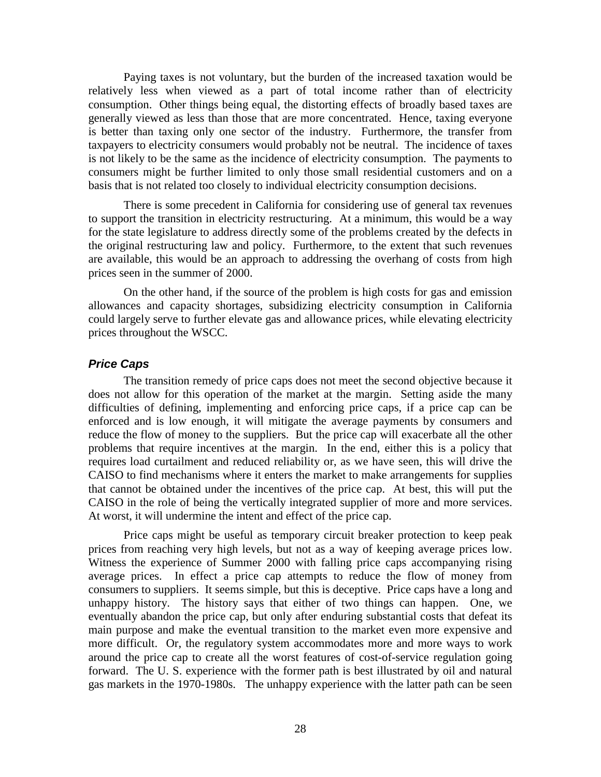Paying taxes is not voluntary, but the burden of the increased taxation would be relatively less when viewed as a part of total income rather than of electricity consumption. Other things being equal, the distorting effects of broadly based taxes are generally viewed as less than those that are more concentrated. Hence, taxing everyone is better than taxing only one sector of the industry. Furthermore, the transfer from taxpayers to electricity consumers would probably not be neutral. The incidence of taxes is not likely to be the same as the incidence of electricity consumption. The payments to consumers might be further limited to only those small residential customers and on a basis that is not related too closely to individual electricity consumption decisions.

There is some precedent in California for considering use of general tax revenues to support the transition in electricity restructuring. At a minimum, this would be a way for the state legislature to address directly some of the problems created by the defects in the original restructuring law and policy. Furthermore, to the extent that such revenues are available, this would be an approach to addressing the overhang of costs from high prices seen in the summer of 2000.

On the other hand, if the source of the problem is high costs for gas and emission allowances and capacity shortages, subsidizing electricity consumption in California could largely serve to further elevate gas and allowance prices, while elevating electricity prices throughout the WSCC.

#### **Price Caps**

The transition remedy of price caps does not meet the second objective because it does not allow for this operation of the market at the margin. Setting aside the many difficulties of defining, implementing and enforcing price caps, if a price cap can be enforced and is low enough, it will mitigate the average payments by consumers and reduce the flow of money to the suppliers. But the price cap will exacerbate all the other problems that require incentives at the margin. In the end, either this is a policy that requires load curtailment and reduced reliability or, as we have seen, this will drive the CAISO to find mechanisms where it enters the market to make arrangements for supplies that cannot be obtained under the incentives of the price cap. At best, this will put the CAISO in the role of being the vertically integrated supplier of more and more services. At worst, it will undermine the intent and effect of the price cap.

Price caps might be useful as temporary circuit breaker protection to keep peak prices from reaching very high levels, but not as a way of keeping average prices low. Witness the experience of Summer 2000 with falling price caps accompanying rising average prices. In effect a price cap attempts to reduce the flow of money from consumers to suppliers. It seems simple, but this is deceptive. Price caps have a long and unhappy history. The history says that either of two things can happen. One, we eventually abandon the price cap, but only after enduring substantial costs that defeat its main purpose and make the eventual transition to the market even more expensive and more difficult. Or, the regulatory system accommodates more and more ways to work around the price cap to create all the worst features of cost-of-service regulation going forward. The U. S. experience with the former path is best illustrated by oil and natural gas markets in the 1970-1980s. The unhappy experience with the latter path can be seen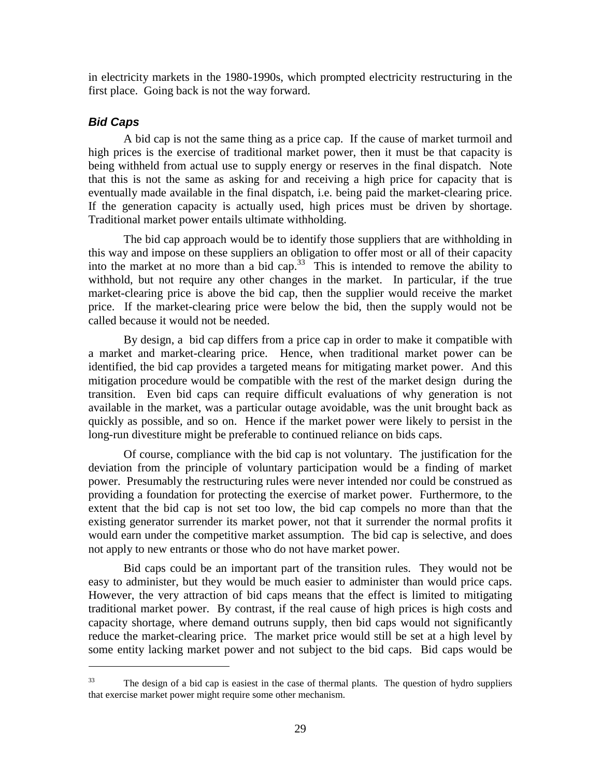in electricity markets in the 1980-1990s, which prompted electricity restructuring in the first place. Going back is not the way forward.

## **Bid Caps**

 $\overline{a}$ 

A bid cap is not the same thing as a price cap. If the cause of market turmoil and high prices is the exercise of traditional market power, then it must be that capacity is being withheld from actual use to supply energy or reserves in the final dispatch. Note that this is not the same as asking for and receiving a high price for capacity that is eventually made available in the final dispatch, i.e. being paid the market-clearing price. If the generation capacity is actually used, high prices must be driven by shortage. Traditional market power entails ultimate withholding.

The bid cap approach would be to identify those suppliers that are withholding in this way and impose on these suppliers an obligation to offer most or all of their capacity into the market at no more than a bid cap.<sup>33</sup> This is intended to remove the ability to withhold, but not require any other changes in the market. In particular, if the true market-clearing price is above the bid cap, then the supplier would receive the market price. If the market-clearing price were below the bid, then the supply would not be called because it would not be needed.

By design, a bid cap differs from a price cap in order to make it compatible with a market and market-clearing price. Hence, when traditional market power can be identified, the bid cap provides a targeted means for mitigating market power. And this mitigation procedure would be compatible with the rest of the market design during the transition. Even bid caps can require difficult evaluations of why generation is not available in the market, was a particular outage avoidable, was the unit brought back as quickly as possible, and so on. Hence if the market power were likely to persist in the long-run divestiture might be preferable to continued reliance on bids caps.

Of course, compliance with the bid cap is not voluntary. The justification for the deviation from the principle of voluntary participation would be a finding of market power. Presumably the restructuring rules were never intended nor could be construed as providing a foundation for protecting the exercise of market power. Furthermore, to the extent that the bid cap is not set too low, the bid cap compels no more than that the existing generator surrender its market power, not that it surrender the normal profits it would earn under the competitive market assumption. The bid cap is selective, and does not apply to new entrants or those who do not have market power.

Bid caps could be an important part of the transition rules. They would not be easy to administer, but they would be much easier to administer than would price caps. However, the very attraction of bid caps means that the effect is limited to mitigating traditional market power. By contrast, if the real cause of high prices is high costs and capacity shortage, where demand outruns supply, then bid caps would not significantly reduce the market-clearing price. The market price would still be set at a high level by some entity lacking market power and not subject to the bid caps. Bid caps would be

 $33$  The design of a bid cap is easiest in the case of thermal plants. The question of hydro suppliers that exercise market power might require some other mechanism.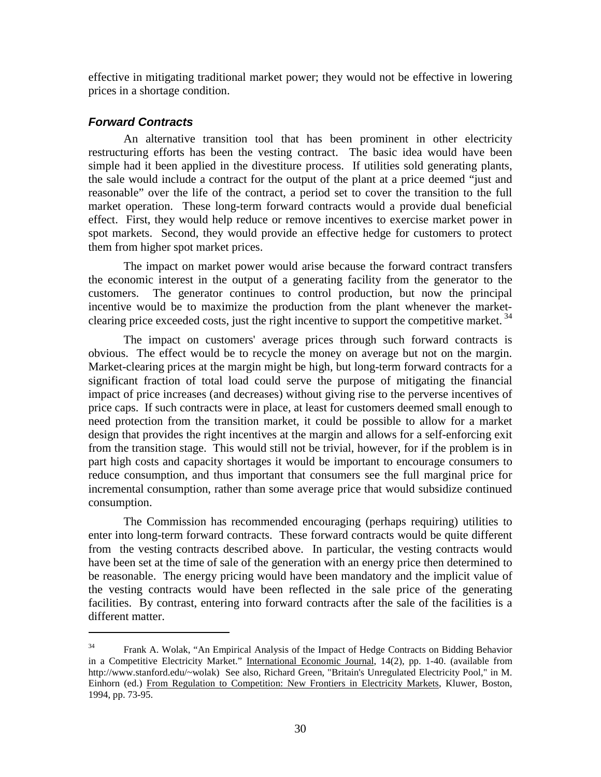effective in mitigating traditional market power; they would not be effective in lowering prices in a shortage condition.

## **Forward Contracts**

 $\overline{a}$ 

An alternative transition tool that has been prominent in other electricity restructuring efforts has been the vesting contract. The basic idea would have been simple had it been applied in the divestiture process. If utilities sold generating plants, the sale would include a contract for the output of the plant at a price deemed "just and reasonable" over the life of the contract, a period set to cover the transition to the full market operation. These long-term forward contracts would a provide dual beneficial effect. First, they would help reduce or remove incentives to exercise market power in spot markets. Second, they would provide an effective hedge for customers to protect them from higher spot market prices.

The impact on market power would arise because the forward contract transfers the economic interest in the output of a generating facility from the generator to the customers. The generator continues to control production, but now the principal incentive would be to maximize the production from the plant whenever the marketclearing price exceeded costs, just the right incentive to support the competitive market.<sup>34</sup>

The impact on customers' average prices through such forward contracts is obvious. The effect would be to recycle the money on average but not on the margin. Market-clearing prices at the margin might be high, but long-term forward contracts for a significant fraction of total load could serve the purpose of mitigating the financial impact of price increases (and decreases) without giving rise to the perverse incentives of price caps. If such contracts were in place, at least for customers deemed small enough to need protection from the transition market, it could be possible to allow for a market design that provides the right incentives at the margin and allows for a self-enforcing exit from the transition stage. This would still not be trivial, however, for if the problem is in part high costs and capacity shortages it would be important to encourage consumers to reduce consumption, and thus important that consumers see the full marginal price for incremental consumption, rather than some average price that would subsidize continued consumption.

The Commission has recommended encouraging (perhaps requiring) utilities to enter into long-term forward contracts. These forward contracts would be quite different from the vesting contracts described above. In particular, the vesting contracts would have been set at the time of sale of the generation with an energy price then determined to be reasonable. The energy pricing would have been mandatory and the implicit value of the vesting contracts would have been reflected in the sale price of the generating facilities. By contrast, entering into forward contracts after the sale of the facilities is a different matter.

 $34$  Frank A. Wolak, "An Empirical Analysis of the Impact of Hedge Contracts on Bidding Behavior in a Competitive Electricity Market." International Economic Journal, 14(2), pp. 1-40. (available from http://www.stanford.edu/~wolak) See also, Richard Green, "Britain's Unregulated Electricity Pool," in M. Einhorn (ed.) From Regulation to Competition: New Frontiers in Electricity Markets, Kluwer, Boston, 1994, pp. 73-95.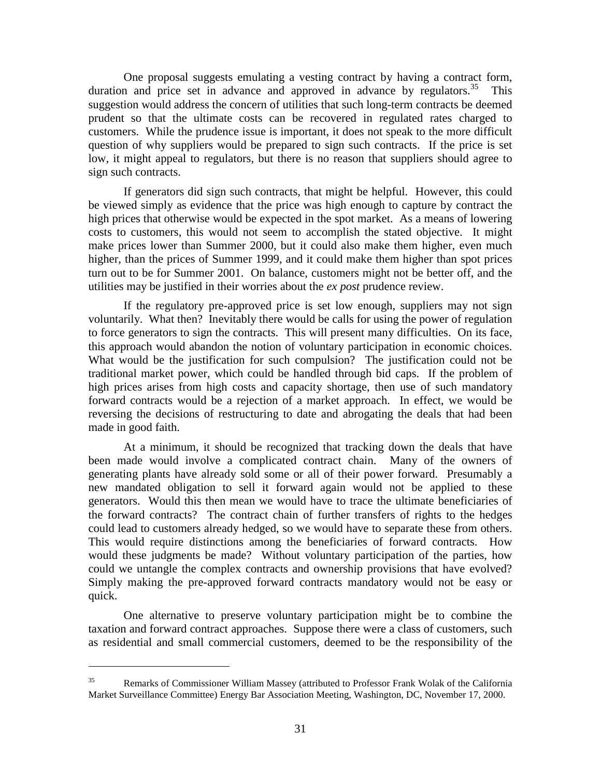One proposal suggests emulating a vesting contract by having a contract form, duration and price set in advance and approved in advance by regulators.<sup>35</sup> This suggestion would address the concern of utilities that such long-term contracts be deemed prudent so that the ultimate costs can be recovered in regulated rates charged to customers. While the prudence issue is important, it does not speak to the more difficult question of why suppliers would be prepared to sign such contracts. If the price is set low, it might appeal to regulators, but there is no reason that suppliers should agree to sign such contracts.

If generators did sign such contracts, that might be helpful. However, this could be viewed simply as evidence that the price was high enough to capture by contract the high prices that otherwise would be expected in the spot market. As a means of lowering costs to customers, this would not seem to accomplish the stated objective. It might make prices lower than Summer 2000, but it could also make them higher, even much higher, than the prices of Summer 1999, and it could make them higher than spot prices turn out to be for Summer 2001. On balance, customers might not be better off, and the utilities may be justified in their worries about the *ex post* prudence review.

If the regulatory pre-approved price is set low enough, suppliers may not sign voluntarily. What then? Inevitably there would be calls for using the power of regulation to force generators to sign the contracts. This will present many difficulties. On its face, this approach would abandon the notion of voluntary participation in economic choices. What would be the justification for such compulsion? The justification could not be traditional market power, which could be handled through bid caps. If the problem of high prices arises from high costs and capacity shortage, then use of such mandatory forward contracts would be a rejection of a market approach. In effect, we would be reversing the decisions of restructuring to date and abrogating the deals that had been made in good faith.

At a minimum, it should be recognized that tracking down the deals that have been made would involve a complicated contract chain. Many of the owners of generating plants have already sold some or all of their power forward. Presumably a new mandated obligation to sell it forward again would not be applied to these generators. Would this then mean we would have to trace the ultimate beneficiaries of the forward contracts? The contract chain of further transfers of rights to the hedges could lead to customers already hedged, so we would have to separate these from others. This would require distinctions among the beneficiaries of forward contracts. How would these judgments be made? Without voluntary participation of the parties, how could we untangle the complex contracts and ownership provisions that have evolved? Simply making the pre-approved forward contracts mandatory would not be easy or quick.

One alternative to preserve voluntary participation might be to combine the taxation and forward contract approaches. Suppose there were a class of customers, such as residential and small commercial customers, deemed to be the responsibility of the

<sup>&</sup>lt;sup>35</sup> Remarks of Commissioner William Massey (attributed to Professor Frank Wolak of the California Market Surveillance Committee) Energy Bar Association Meeting, Washington, DC, November 17, 2000.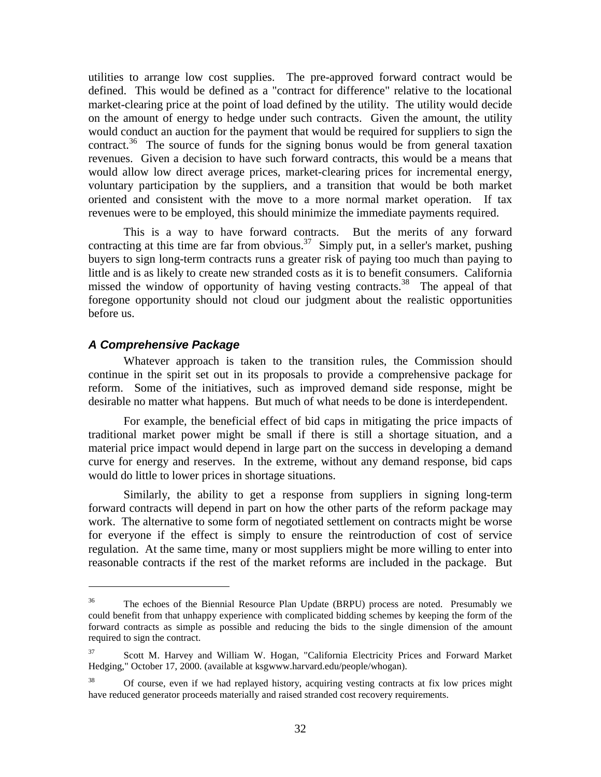utilities to arrange low cost supplies. The pre-approved forward contract would be defined. This would be defined as a "contract for difference" relative to the locational market-clearing price at the point of load defined by the utility. The utility would decide on the amount of energy to hedge under such contracts. Given the amount, the utility would conduct an auction for the payment that would be required for suppliers to sign the contract.<sup>36</sup> The source of funds for the signing bonus would be from general taxation revenues. Given a decision to have such forward contracts, this would be a means that would allow low direct average prices, market-clearing prices for incremental energy, voluntary participation by the suppliers, and a transition that would be both market oriented and consistent with the move to a more normal market operation. If tax revenues were to be employed, this should minimize the immediate payments required.

This is a way to have forward contracts. But the merits of any forward contracting at this time are far from obvious.<sup>37</sup> Simply put, in a seller's market, pushing buyers to sign long-term contracts runs a greater risk of paying too much than paying to little and is as likely to create new stranded costs as it is to benefit consumers. California missed the window of opportunity of having vesting contracts.<sup>38</sup> The appeal of that foregone opportunity should not cloud our judgment about the realistic opportunities before us.

## **A Comprehensive Package**

 $\overline{a}$ 

Whatever approach is taken to the transition rules, the Commission should continue in the spirit set out in its proposals to provide a comprehensive package for reform. Some of the initiatives, such as improved demand side response, might be desirable no matter what happens. But much of what needs to be done is interdependent.

For example, the beneficial effect of bid caps in mitigating the price impacts of traditional market power might be small if there is still a shortage situation, and a material price impact would depend in large part on the success in developing a demand curve for energy and reserves. In the extreme, without any demand response, bid caps would do little to lower prices in shortage situations.

Similarly, the ability to get a response from suppliers in signing long-term forward contracts will depend in part on how the other parts of the reform package may work. The alternative to some form of negotiated settlement on contracts might be worse for everyone if the effect is simply to ensure the reintroduction of cost of service regulation. At the same time, many or most suppliers might be more willing to enter into reasonable contracts if the rest of the market reforms are included in the package. But

<sup>&</sup>lt;sup>36</sup> The echoes of the Biennial Resource Plan Update (BRPU) process are noted. Presumably we could benefit from that unhappy experience with complicated bidding schemes by keeping the form of the forward contracts as simple as possible and reducing the bids to the single dimension of the amount required to sign the contract.

<sup>37</sup> Scott M. Harvey and William W. Hogan, "California Electricity Prices and Forward Market Hedging," October 17, 2000. (available at ksgwww.harvard.edu/people/whogan).

 $38$  Of course, even if we had replayed history, acquiring vesting contracts at fix low prices might have reduced generator proceeds materially and raised stranded cost recovery requirements.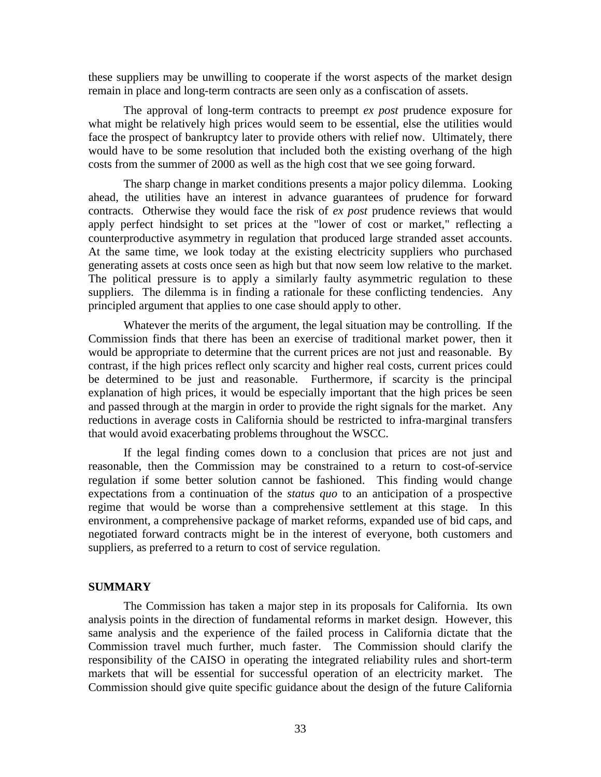these suppliers may be unwilling to cooperate if the worst aspects of the market design remain in place and long-term contracts are seen only as a confiscation of assets.

The approval of long-term contracts to preempt *ex post* prudence exposure for what might be relatively high prices would seem to be essential, else the utilities would face the prospect of bankruptcy later to provide others with relief now. Ultimately, there would have to be some resolution that included both the existing overhang of the high costs from the summer of 2000 as well as the high cost that we see going forward.

The sharp change in market conditions presents a major policy dilemma. Looking ahead, the utilities have an interest in advance guarantees of prudence for forward contracts. Otherwise they would face the risk of *ex post* prudence reviews that would apply perfect hindsight to set prices at the "lower of cost or market," reflecting a counterproductive asymmetry in regulation that produced large stranded asset accounts. At the same time, we look today at the existing electricity suppliers who purchased generating assets at costs once seen as high but that now seem low relative to the market. The political pressure is to apply a similarly faulty asymmetric regulation to these suppliers. The dilemma is in finding a rationale for these conflicting tendencies. Any principled argument that applies to one case should apply to other.

Whatever the merits of the argument, the legal situation may be controlling. If the Commission finds that there has been an exercise of traditional market power, then it would be appropriate to determine that the current prices are not just and reasonable. By contrast, if the high prices reflect only scarcity and higher real costs, current prices could be determined to be just and reasonable. Furthermore, if scarcity is the principal explanation of high prices, it would be especially important that the high prices be seen and passed through at the margin in order to provide the right signals for the market. Any reductions in average costs in California should be restricted to infra-marginal transfers that would avoid exacerbating problems throughout the WSCC.

If the legal finding comes down to a conclusion that prices are not just and reasonable, then the Commission may be constrained to a return to cost-of-service regulation if some better solution cannot be fashioned. This finding would change expectations from a continuation of the *status quo* to an anticipation of a prospective regime that would be worse than a comprehensive settlement at this stage. In this environment, a comprehensive package of market reforms, expanded use of bid caps, and negotiated forward contracts might be in the interest of everyone, both customers and suppliers, as preferred to a return to cost of service regulation.

#### **SUMMARY**

The Commission has taken a major step in its proposals for California. Its own analysis points in the direction of fundamental reforms in market design. However, this same analysis and the experience of the failed process in California dictate that the Commission travel much further, much faster. The Commission should clarify the responsibility of the CAISO in operating the integrated reliability rules and short-term markets that will be essential for successful operation of an electricity market. The Commission should give quite specific guidance about the design of the future California